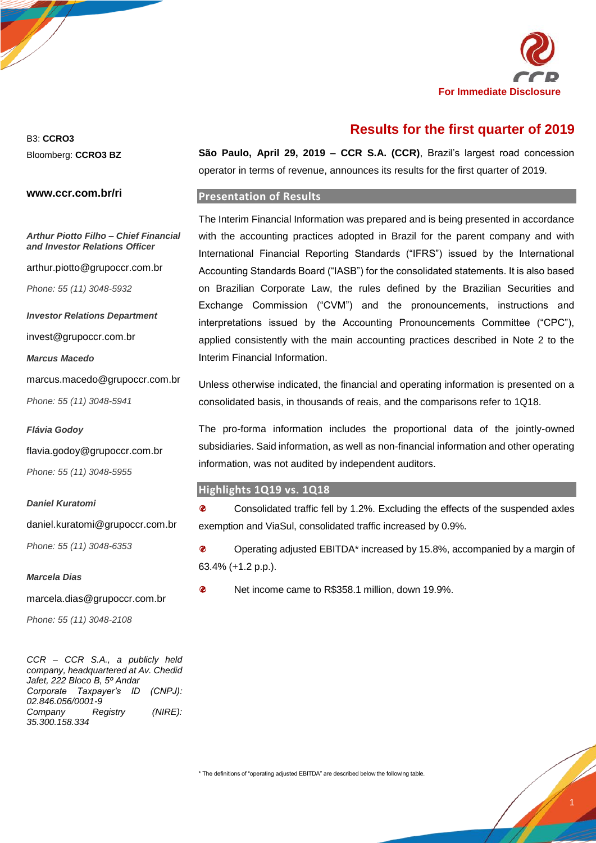

# **Results for the first quarter of 2019**

B3: **CCRO3** Bloomberg: **CCRO3 BZ**

**www.ccr.com.br/ri**

**São Paulo, April 29, 2019 – CCR S.A. (CCR)**, Brazil's largest road concession operator in terms of revenue, announces its results for the first quarter of 2019.

### **Presentation of Results**

*Arthur Piotto Filho – Chief Financial and Investor Relations Officer*

arthur.piotto@grupoccr.com.br

*Phone: 55 (11) 3048-5932*

*Investor Relations Department*

invest@grupoccr.com.br

*Marcus Macedo*

marcus.macedo@grupoccr.com.br *Phone: 55 (11) 3048-5941*

#### *Flávia Godoy*

flavia.godoy@grupoccr.com.br *Phone: 55 (11) 3048-5955*

#### *Daniel Kuratomi*

daniel.kuratomi@grupoccr.com.br

*Phone: 55 (11) 3048-6353*

#### *Marcela Dias*

marcela.dias@grupoccr.com.br

*Phone: 55 (11) 3048-2108*

*CCR – CCR S.A., a publicly held company, headquartered at Av. Chedid Jafet, 222 Bloco B, 5º Andar Corporate Taxpayer's ID (CNPJ): 02.846.056/0001-9 Company Registry (NIRE): 35.300.158.334*

The Interim Financial Information was prepared and is being presented in accordance with the accounting practices adopted in Brazil for the parent company and with International Financial Reporting Standards ("IFRS") issued by the International Accounting Standards Board ("IASB") for the consolidated statements. It is also based on Brazilian Corporate Law, the rules defined by the Brazilian Securities and Exchange Commission ("CVM") and the pronouncements, instructions and interpretations issued by the Accounting Pronouncements Committee ("CPC"), applied consistently with the main accounting practices described in Note 2 to the Interim Financial Information.

Unless otherwise indicated, the financial and operating information is presented on a consolidated basis, in thousands of reais, and the comparisons refer to 1Q18.

The pro-forma information includes the proportional data of the jointly-owned subsidiaries. Said information, as well as non-financial information and other operating information, was not audited by independent auditors.

#### **Highlights 1Q19 vs. 1Q18**

 $\bullet$ Consolidated traffic fell by 1.2%. Excluding the effects of the suspended axles exemption and ViaSul, consolidated traffic increased by 0.9%.

 $\bullet$ Operating adjusted EBITDA\* increased by 15.8%, accompanied by a margin of 63.4% (+1.2 p.p.).

 $\boldsymbol{\theta}$ Net income came to R\$358.1 million, down 19.9%.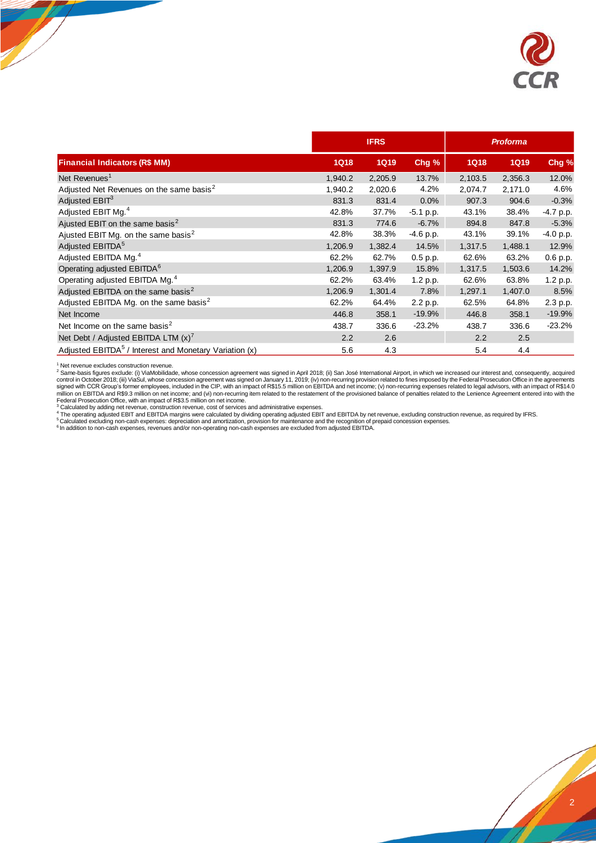

|                                                                    |             | <b>IFRS</b> |             |               | <b>Proforma</b> |             |
|--------------------------------------------------------------------|-------------|-------------|-------------|---------------|-----------------|-------------|
| <b>Financial Indicators (R\$ MM)</b>                               | <b>1Q18</b> | <b>1Q19</b> | Chg%        | <b>1Q18</b>   | <b>1Q19</b>     | Chg %       |
| Net Revenues <sup>1</sup>                                          | 1,940.2     | 2,205.9     | 13.7%       | 2,103.5       | 2,356.3         | 12.0%       |
| Adjusted Net Revenues on the same basis <sup>2</sup>               | 1,940.2     | 2,020.6     | 4.2%        | 2,074.7       | 2,171.0         | 4.6%        |
| Adjusted $EBIT3$                                                   | 831.3       | 831.4       | 0.0%        | 907.3         | 904.6           | $-0.3%$     |
| Adjusted EBIT Mg. <sup>4</sup>                                     | 42.8%       | 37.7%       | $-5.1$ p.p. | 43.1%         | 38.4%           | $-4.7 p.p.$ |
| Ajusted EBIT on the same basis <sup>2</sup>                        | 831.3       | 774.6       | $-6.7%$     | 894.8         | 847.8           | $-5.3%$     |
| Ajusted EBIT Mg. on the same basis <sup>2</sup>                    | 42.8%       | 38.3%       | -4.6 p.p.   | 43.1%         | 39.1%           | -4.0 p.p.   |
| Adjusted EBITDA <sup>5</sup>                                       | 1,206.9     | 1,382.4     | 14.5%       | 1,317.5       | 1,488.1         | 12.9%       |
| Adjusted EBITDA Mg. <sup>4</sup>                                   | 62.2%       | 62.7%       | $0.5$ p.p.  | 62.6%         | 63.2%           | 0.6 p.p.    |
| Operating adjusted EBITDA <sup>6</sup>                             | 1,206.9     | 1,397.9     | 15.8%       | 1,317.5       | 1,503.6         | 14.2%       |
| Operating adjusted EBITDA Mg. <sup>4</sup>                         | 62.2%       | 63.4%       | 1.2 p.p.    | 62.6%         | 63.8%           | 1.2 p.p.    |
| Adjusted EBITDA on the same basis <sup>2</sup>                     | 1,206.9     | 1,301.4     | 7.8%        | 1,297.1       | 1,407.0         | 8.5%        |
| Adjusted EBITDA Mg. on the same basis <sup>2</sup>                 | 62.2%       | 64.4%       | 2.2 p.p.    | 62.5%         | 64.8%           | 2.3 p.p.    |
| Net Income                                                         | 446.8       | 358.1       | $-19.9%$    | 446.8         | 358.1           | $-19.9%$    |
| Net Income on the same basis <sup>2</sup>                          | 438.7       | 336.6       | $-23.2%$    | 438.7         | 336.6           | $-23.2%$    |
| Net Debt / Adjusted EBITDA LTM $(x)^7$                             | 2.2         | 2.6         |             | $2.2^{\circ}$ | 2.5             |             |
| Adjusted EBITDA <sup>5</sup> / Interest and Monetary Variation (x) | 5.6         | 4.3         |             | 5.4           | 4.4             |             |

<sup>1</sup> Net revenue excludes construction revenue,<br>
2 Same-basis figures excludes (i) ViaMobilidade, whose concession agreement was signed in April 2018; (ii) San José International Airport, in which we increased our interest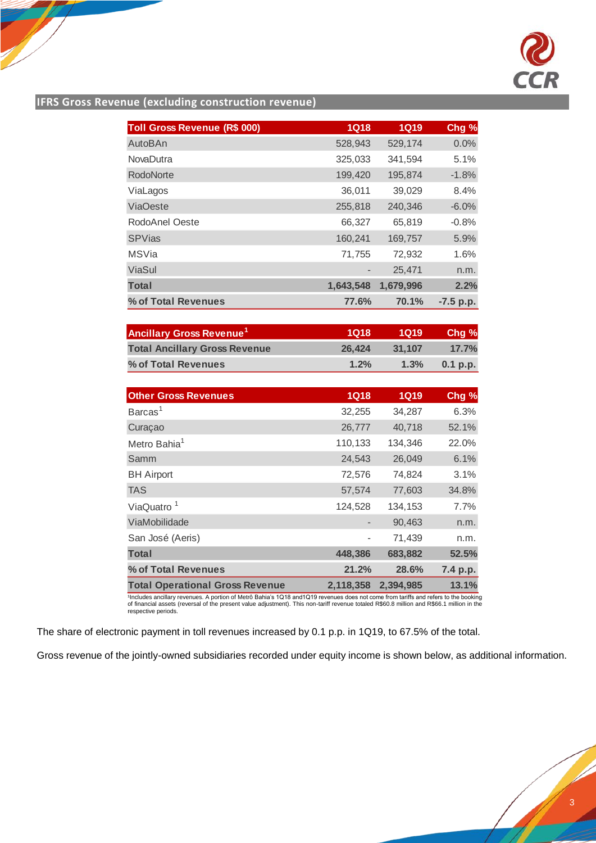

# **IFRS Gross Revenue (excluding construction revenue)**

| <b>Toll Gross Revenue (R\$ 000)</b> | 1Q18      | <b>1Q19</b> | Chg %       |
|-------------------------------------|-----------|-------------|-------------|
| AutoBAn                             | 528,943   | 529,174     | 0.0%        |
| <b>NovaDutra</b>                    | 325,033   | 341,594     | 5.1%        |
| RodoNorte                           | 199,420   | 195,874     | $-1.8%$     |
| ViaLagos                            | 36,011    | 39,029      | 8.4%        |
| <b>ViaOeste</b>                     | 255,818   | 240,346     | $-6.0%$     |
| RodoAnel Oeste                      | 66,327    | 65,819      | $-0.8%$     |
| <b>SPVias</b>                       | 160,241   | 169,757     | 5.9%        |
| <b>MSVia</b>                        | 71,755    | 72,932      | 1.6%        |
| ViaSul                              |           | 25,471      | n.m.        |
| <b>Total</b>                        | 1,643,548 | 1,679,996   | 2.2%        |
| % of Total Revenues                 | 77.6%     | 70.1%       | $-7.5$ p.p. |

| <b>Ancillary Gross Revenue<sup>1</sup></b> | 1018   | 1019   | Chg %      |
|--------------------------------------------|--------|--------|------------|
| <b>Total Ancillary Gross Revenue</b>       | 26.424 | 31.107 | 17.7%      |
| % of Total Revenues                        | 1.2%   | 1.3%   | $0.1$ p.p. |

| <b>Other Gross Revenues</b>            | 1Q18                         | <b>1Q19</b> | Chg %    |
|----------------------------------------|------------------------------|-------------|----------|
| Barcas <sup>1</sup>                    | 32,255                       | 34,287      | 6.3%     |
| Curaçao                                | 26,777                       | 40,718      | 52.1%    |
| Metro Bahia <sup>1</sup>               | 110,133                      | 134,346     | 22.0%    |
| Samm                                   | 24,543                       | 26,049      | 6.1%     |
| <b>BH</b> Airport                      | 72,576                       | 74,824      | 3.1%     |
| <b>TAS</b>                             | 57,574                       | 77,603      | 34.8%    |
| ViaQuatro <sup>1</sup>                 | 124,528                      | 134,153     | 7.7%     |
| ViaMobilidade                          | $\qquad \qquad \blacksquare$ | 90,463      | n.m.     |
| San José (Aeris)                       |                              | 71,439      | n.m.     |
| <b>Total</b>                           | 448,386                      | 683,882     | 52.5%    |
| % of Total Revenues                    | 21.2%                        | 28.6%       | 7.4 p.p. |
| <b>Total Operational Gross Revenue</b> | 2,118,358                    | 2.394.985   | 13.1%    |

'Includes ancillary revenues. A portion of Metrô Bahia's 1Q18 and1Q19 revenues does not come from tariffs and refers to the booking<br>of financial assets (reversal of the present value adjustment). This non-tariff revenue

The share of electronic payment in toll revenues increased by 0.1 p.p. in 1Q19, to 67.5% of the total.

Gross revenue of the jointly-owned subsidiaries recorded under equity income is shown below, as additional information.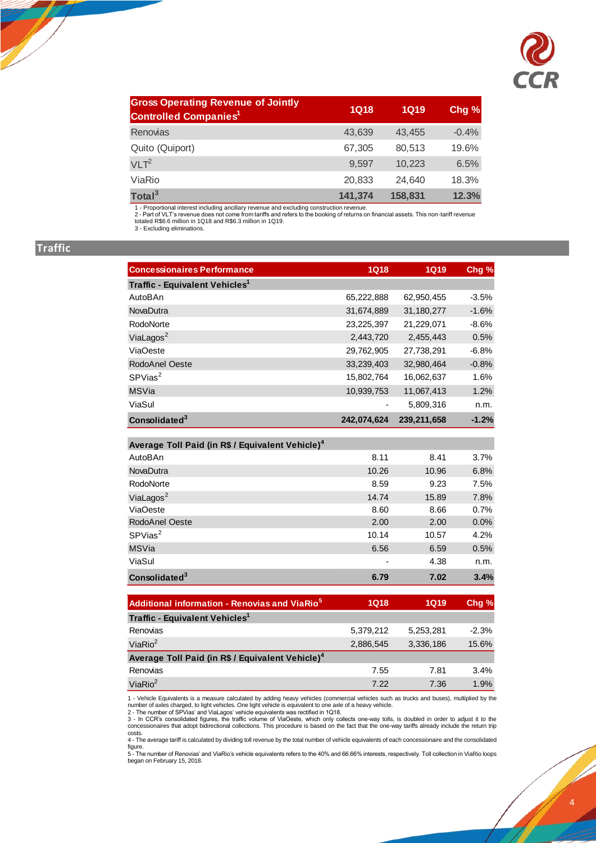

| <b>Gross Operating Revenue of Jointly</b><br><b>Controlled Companies<sup>1</sup></b> | <b>1Q18</b> | <b>1Q19</b> | Chg %   |
|--------------------------------------------------------------------------------------|-------------|-------------|---------|
| Renovias                                                                             | 43,639      | 43.455      | $-0.4%$ |
| Quito (Quiport)                                                                      | 67,305      | 80,513      | 19.6%   |
| VLT <sup>2</sup>                                                                     | 9.597       | 10.223      | 6.5%    |
| ViaRio                                                                               | 20,833      | 24.640      | 18.3%   |
| Total <sup>3</sup>                                                                   | 141,374     | 158,831     | 12.3%   |

1 - Proportional interest including ancillary revenue and excluding construction revenue.<br>2 - Part of VLT's revenue does not come from tariffs and refers to the booking of returns on financial assets. This non-tariff reven

# **Traffic**

| <b>Concessionaires Performance</b>                           | <b>1Q18</b> | <b>1Q19</b> | Chg %   |
|--------------------------------------------------------------|-------------|-------------|---------|
| Traffic - Equivalent Vehicles <sup>1</sup>                   |             |             |         |
| AutoBAn                                                      | 65,222,888  | 62,950,455  | $-3.5%$ |
| NovaDutra                                                    | 31,674,889  | 31,180,277  | $-1.6%$ |
| RodoNorte                                                    | 23,225,397  | 21,229,071  | $-8.6%$ |
| ViaLagos <sup>2</sup>                                        | 2,443,720   | 2,455,443   | 0.5%    |
| <b>ViaOeste</b>                                              | 29,762,905  | 27,738,291  | $-6.8%$ |
| RodoAnel Oeste                                               | 33,239,403  | 32,980,464  | $-0.8%$ |
| SPVias <sup>2</sup>                                          | 15,802,764  | 16,062,637  | 1.6%    |
| <b>MSVia</b>                                                 | 10,939,753  | 11,067,413  | 1.2%    |
| ViaSul                                                       |             | 5,809,316   | n.m.    |
| Consolidated <sup>3</sup>                                    | 242,074,624 | 239,211,658 | $-1.2%$ |
|                                                              |             |             |         |
| Average Toll Paid (in R\$ / Equivalent Vehicle) <sup>4</sup> |             |             |         |
| AutoBAn                                                      | 8.11        | 8.41        | 3.7%    |
| NovaDutra                                                    | 10.26       | 10.96       | 6.8%    |
| RodoNorte                                                    | 8.59        | 9.23        | 7.5%    |
| ViaLagos <sup>2</sup>                                        | 14.74       | 15.89       | 7.8%    |
| <b>ViaOeste</b>                                              | 8.60        | 8.66        | 0.7%    |
| RodoAnel Oeste                                               | 2.00        | 2.00        | 0.0%    |
| SPVias <sup>2</sup>                                          | 10.14       | 10.57       | 4.2%    |
| <b>MSVia</b>                                                 | 6.56        | 6.59        | 0.5%    |
| ViaSul                                                       |             | 4.38        | n.m.    |
| Consolidated $3$                                             | 6.79        | 7.02        | 3.4%    |
|                                                              |             |             |         |
| Additional information - Renovias and ViaRio <sup>5</sup>    | <b>1Q18</b> | <b>1Q19</b> | Chg %   |
| Traffic - Equivalent Vehicles <sup>1</sup>                   |             |             |         |
| Renovias                                                     | 5,379,212   | 5,253,281   | $-2.3%$ |
| Via $Rio2$                                                   | 2,886,545   | 3,336,186   | 15.6%   |
| Average Toll Paid (in R\$ / Equivalent Vehicle) <sup>4</sup> |             |             |         |
| Renovias                                                     | 7.55        | 7.81        | 3.4%    |

ViaRio $^2$  7.22 7.36 1.9% من 1.9% 7.22 7.36 7.9% 7.22 7.36 7.9%

1 - Vehicle Equivalents is a measure calculated by adding heavy vehicles (commercial vehicles such as trucks and buses), multiplied by the number of axles charged, to light vehicles. One light vehicle is equivalent to one

costs. 4 - The average tariff is calculated by dividing toll revenue by the total number of vehicle equivalents of each concessionaire and the consolidated figure. 5 - The number of Renovias' and ViaRio's vehicle equivalents refers to the 40% and 66.66% interests, respectively. Toll collection in ViaRio loops

began on February 15, 2018.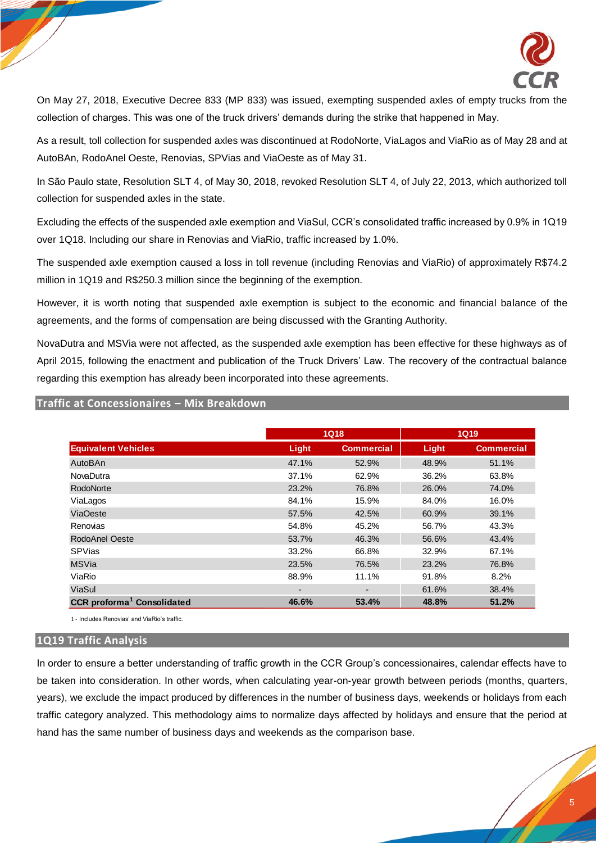

On May 27, 2018, Executive Decree 833 (MP 833) was issued, exempting suspended axles of empty trucks from the collection of charges. This was one of the truck drivers' demands during the strike that happened in May.

As a result, toll collection for suspended axles was discontinued at RodoNorte, ViaLagos and ViaRio as of May 28 and at AutoBAn, RodoAnel Oeste, Renovias, SPVias and ViaOeste as of May 31.

In São Paulo state, Resolution SLT 4, of May 30, 2018, revoked Resolution SLT 4, of July 22, 2013, which authorized toll collection for suspended axles in the state.

Excluding the effects of the suspended axle exemption and ViaSul, CCR's consolidated traffic increased by 0.9% in 1Q19 over 1Q18. Including our share in Renovias and ViaRio, traffic increased by 1.0%.

The suspended axle exemption caused a loss in toll revenue (including Renovias and ViaRio) of approximately R\$74.2 million in 1Q19 and R\$250.3 million since the beginning of the exemption.

However, it is worth noting that suspended axle exemption is subject to the economic and financial balance of the agreements, and the forms of compensation are being discussed with the Granting Authority.

NovaDutra and MSVia were not affected, as the suspended axle exemption has been effective for these highways as of April 2015, following the enactment and publication of the Truck Drivers' Law. The recovery of the contractual balance regarding this exemption has already been incorporated into these agreements.

|                                               |                | <b>1Q18</b>       | <b>1Q19</b> |                   |  |
|-----------------------------------------------|----------------|-------------------|-------------|-------------------|--|
| <b>Equivalent Vehicles</b>                    | Light          | <b>Commercial</b> | Light       | <b>Commercial</b> |  |
| AutoBAn                                       | 47.1%          | 52.9%             | 48.9%       | 51.1%             |  |
| <b>NovaDutra</b>                              | 37.1%          | 62.9%             | 36.2%       | 63.8%             |  |
| RodoNorte                                     | 23.2%          | 76.8%             | 26.0%       | 74.0%             |  |
| ViaLagos                                      | 84.1%          | 15.9%             | 84.0%       | 16.0%             |  |
| <b>ViaOeste</b>                               | 57.5%          | 42.5%             | 60.9%       | 39.1%             |  |
| <b>Renovias</b>                               | 54.8%          | 45.2%             | 56.7%       | 43.3%             |  |
| RodoAnel Oeste                                | 53.7%          | 46.3%             | 56.6%       | 43.4%             |  |
| SPVias                                        | 33.2%          | 66.8%             | 32.9%       | 67.1%             |  |
| <b>MSVia</b>                                  | 23.5%          | 76.5%             | 23.2%       | 76.8%             |  |
| ViaRio                                        | 88.9%          | 11.1%             | 91.8%       | 8.2%              |  |
| ViaSul                                        | $\blacksquare$ |                   | 61.6%       | 38.4%             |  |
| <b>CCR</b> proforma <sup>1</sup> Consolidated | 46.6%          | 53.4%             | 48.8%       | 51.2%             |  |

**Traffic at Concessionaires – Mix Breakdown**

1 - Includes Renovias' and ViaRio's traffic.

#### **1Q19 Traffic Analysis**

In order to ensure a better understanding of traffic growth in the CCR Group's concessionaires, calendar effects have to be taken into consideration. In other words, when calculating year-on-year growth between periods (months, quarters, years), we exclude the impact produced by differences in the number of business days, weekends or holidays from each traffic category analyzed. This methodology aims to normalize days affected by holidays and ensure that the period at hand has the same number of business days and weekends as the comparison base.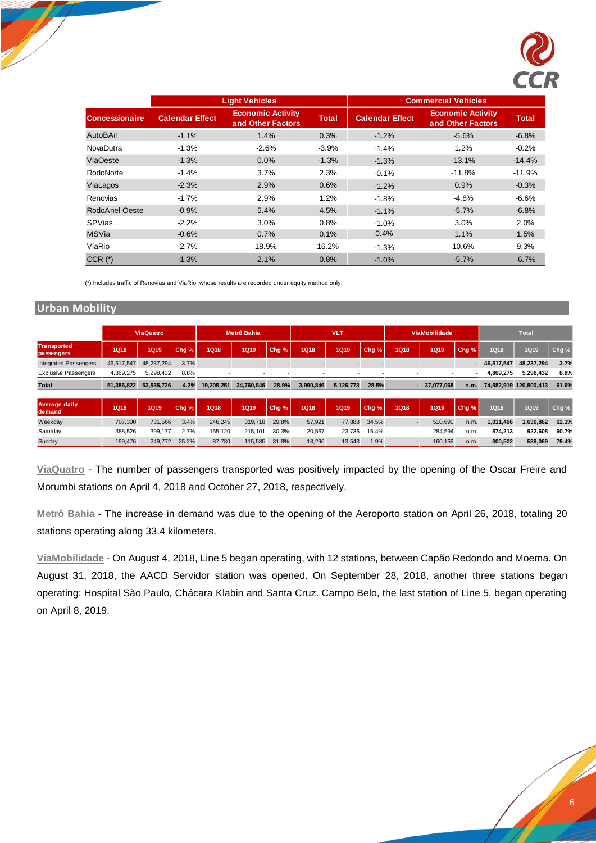

|                       |                        | <b>Light Vehicles</b>                         |              |                        | <b>Commercial Vehicles</b>                    |              |
|-----------------------|------------------------|-----------------------------------------------|--------------|------------------------|-----------------------------------------------|--------------|
| <b>Concessionaire</b> | <b>Calendar Effect</b> | <b>Economic Activity</b><br>and Other Factors | <b>Total</b> | <b>Calendar Effect</b> | <b>Economic Activity</b><br>and Other Factors | <b>Total</b> |
| AutoBAn               | $-1.1%$                | 1.4%                                          | 0.3%         | $-1.2%$                | $-5.6%$                                       | $-6.8%$      |
| <b>NovaDutra</b>      | $-1.3%$                | $-2.6%$                                       | $-3.9%$      | $-1.4%$                | 1.2%                                          | $-0.2%$      |
| <b>ViaOeste</b>       | $-1.3%$                | 0.0%                                          | $-1.3%$      | $-1.3%$                | $-13.1%$                                      | $-14.4%$     |
| RodoNorte             | $-1.4%$                | 3.7%                                          | 2.3%         | $-0.1%$                | $-11.8%$                                      | $-11.9%$     |
| ViaLagos              | $-2.3%$                | 2.9%                                          | 0.6%         | $-1.2%$                | 0.9%                                          | $-0.3%$      |
| Renovias              | $-1.7%$                | 2.9%                                          | 1.2%         | $-1.8%$                | $-4.8%$                                       | $-6.6%$      |
| RodoAnel Oeste        | $-0.9%$                | 5.4%                                          | 4.5%         | $-1.1%$                | $-5.7%$                                       | $-6.8%$      |
| SPVias                | $-2.2%$                | 3.0%                                          | 0.8%         | $-1.0%$                | 3.0%                                          | 2.0%         |
| <b>MSVia</b>          | $-0.6%$                | 0.7%                                          | 0.1%         | 0.4%                   | 1.1%                                          | 1.5%         |
| ViaRio                | $-2.7%$                | 18.9%                                         | 16.2%        | $-1.3%$                | 10.6%                                         | 9.3%         |
| $CCR (*)$             | $-1.3%$                | 2.1%                                          | 0.8%         | $-1.0%$                | $-5.7%$                                       | $-6.7%$      |

(\*) Includes traffic of Renovias and ViaRio, whose results are recorded under equity method only.

## **Urban Mobility**

|                                  |             | <b>ViaQuatro</b> |       |             | Metrô Bahia |                  |             | <b>VLT</b>  |       |                          | ViaMobilidade |       |            | <b>Total</b>           |       |
|----------------------------------|-------------|------------------|-------|-------------|-------------|------------------|-------------|-------------|-------|--------------------------|---------------|-------|------------|------------------------|-------|
| <b>Transported</b><br>passengers | <b>1Q18</b> | 1Q19             | Chg % | <b>1Q18</b> | <b>1Q19</b> | Chg %            | <b>1Q18</b> | <b>1Q19</b> | Chg % | <b>1Q18</b>              | 1Q19          | Chg % | 1Q18       | <b>1Q19</b>            | Chg % |
| <b>Integrated Passengers</b>     | 46.517.547  | 48.237.294       | 3.7%  |             |             |                  |             |             |       |                          |               |       | 46,517,547 | 48,237,294             | 3.7%  |
| <b>Exclusive Passengers</b>      | 4.869.275   | 5,298,432        | 8.8%  |             |             |                  |             |             |       | $\overline{\phantom{0}}$ |               |       | 4,869,275  | 5,298,432              | 8.8%  |
| <b>Total</b>                     | 51,386,822  | 53,535,726       | 4.2%  | 19.205.251  | 24.760.846  | 28.9%            | 3,990,846   | 5,126,773   | 28.5% |                          | 37,077,068    | n.m.  |            | 74,582,919 120,500,413 | 61.6% |
| <b>Average daily</b><br>demand   | <b>1Q18</b> | 1Q19             | Chg % | <b>1Q18</b> | <b>1Q19</b> | Chg <sub>%</sub> | <b>1Q18</b> | <b>1Q19</b> | Chg % | <b>1Q18</b>              | <b>1Q19</b>   | Chg % | 1Q18       | <b>1Q19</b>            | Chg % |
| Weekday                          | 707.300     | 731,566          | 3.4%  | 246.245     | 319,718     | 29.8%            | 57,921      | 77,888      | 34.5% |                          | 510.690       | n.m.  | 1,011,466  | 1,639,862              | 62.1% |
| Saturday                         | 388.526     | 399,177          | 2.7%  | 165.120     | 215.101     | 30.3%            | 20,567      | 23.736      | 15.4% | $\overline{\phantom{a}}$ | 284.594       | n.m.  | 574.213    | 922.608                | 60.7% |
| Sunday                           | 199.476     | 249,772          | 25.2% | 87,730      | 115,585     | 31.8%            | 13,296      | 13,543      | 1.9%  |                          | 160,169       | n.m.  | 300.502    | 539,069                | 79.4% |

**ViaQuatro** - The number of passengers transported was positively impacted by the opening of the Oscar Freire and Morumbi stations on April 4, 2018 and October 27, 2018, respectively.

**Metrô Bahia** - The increase in demand was due to the opening of the Aeroporto station on April 26, 2018, totaling 20 stations operating along 33.4 kilometers.

**ViaMobilidade** - On August 4, 2018, Line 5 began operating, with 12 stations, between Capão Redondo and Moema. On August 31, 2018, the AACD Servidor station was opened. On September 28, 2018, another three stations began operating: Hospital São Paulo, Chácara Klabin and Santa Cruz. Campo Belo, the last station of Line 5, began operating on April 8, 2019.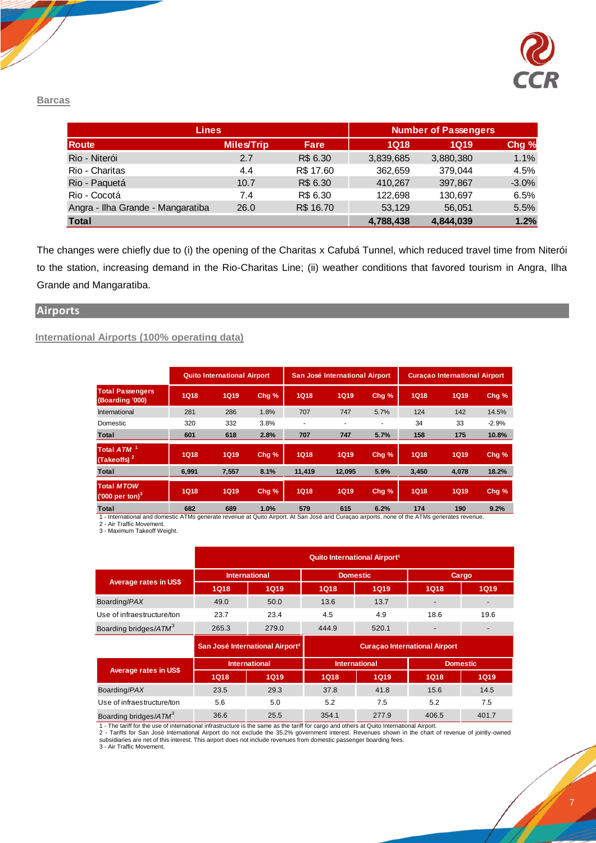

#### **Barcas**

| <b>Lines</b>                      |                   |           |             | <b>Number of Passengers</b> |         |
|-----------------------------------|-------------------|-----------|-------------|-----------------------------|---------|
| <b>Route</b>                      | <b>Miles/Trip</b> | Fare      | <b>1Q18</b> | <b>1Q19</b>                 | Chg %   |
| Rio - Niterói                     | 2.7               | R\$ 6.30  | 3,839,685   | 3,880,380                   | 1.1%    |
| Rio - Charitas                    | 4.4               | R\$ 17.60 | 362,659     | 379,044                     | 4.5%    |
| Rio - Paquetá                     | 10.7              | R\$ 6.30  | 410,267     | 397.867                     | $-3.0%$ |
| Rio - Cocotá                      | 7.4               | R\$ 6.30  | 122.698     | 130.697                     | 6.5%    |
| Angra - Ilha Grande - Mangaratiba | 26.0              | R\$ 16.70 | 53.129      | 56.051                      | 5.5%    |
| <b>Total</b>                      |                   |           | 4,788,438   | 4,844,039                   | 1.2%    |

The changes were chiefly due to (i) the opening of the Charitas x Cafubá Tunnel, which reduced travel time from Niterói to the station, increasing demand in the Rio-Charitas Line; (ii) weather conditions that favored tourism in Angra, Ilha Grande and Mangaratiba.

#### **Airports**

## **International Airports (100% operating data)**

|                                                   |             | <b>Quito International Airport</b> |                  |             | San José International Airport |       |             | <b>Curacao International Airport</b> |         |
|---------------------------------------------------|-------------|------------------------------------|------------------|-------------|--------------------------------|-------|-------------|--------------------------------------|---------|
| <b>Total Passengers</b><br>(Boarding '000)        | <b>1Q18</b> | <b>1Q19</b>                        | Chg %            | <b>1Q18</b> | <b>1Q19</b>                    | Chg % | <b>1Q18</b> | <b>1Q19</b>                          | Chg %   |
| International                                     | 281         | 286                                | 1.8%             | 707         | 747                            | 5.7%  | 124         | 142                                  | 14.5%   |
| Domestic                                          | 320         | 332                                | 3.8%             | ٠           |                                | ۰     | 34          | 33                                   | $-2.9%$ |
| <b>Total</b>                                      | 601         | 618                                | 2.8%             | 707         | 747                            | 5.7%  | 158         | 175                                  | 10.8%   |
| Total ATM <sup>1</sup><br>(Takeoffs) <sup>2</sup> | <b>1Q18</b> | <b>1Q19</b>                        | Chg <sub>%</sub> | <b>1Q18</b> | <b>1Q19</b>                    | Chg % | <b>1Q18</b> | <b>1Q19</b>                          | Chg %   |
| <b>Total</b>                                      | 6.991       | 7.557                              | 8.1%             | 11.419      | 12.095                         | 5.9%  | 3,450       | 4,078                                | 18.2%   |
| <b>Total MTOW</b><br>('000 per ton) $3$           | <b>1Q18</b> | <b>1Q19</b>                        | Chg %            | <b>1Q18</b> | <b>1Q19</b>                    | Chg % | <b>1Q18</b> | <b>1Q19</b>                          | Chg %   |
| $-1$                                              | $\sim$      | 0.00                               | $\overline{A}$   | $-70$       | 0.4F                           | 0.001 | $4 - 4$     | $\sqrt{2}$                           | 0.001   |

1 - International and domestic ATMs generate revenue at Quito Airport. At San José and Curaçao airports, none of the ATMs generates revenue.<br>2 - Air Traffic Movement.<br>3 - Maximum Takeoff Weight. **Total 682 689 1.0% 579 615 6.2% 174 190 9.2%**

|                                   |             |                                             |             | Quito International Airport <sup>1</sup> |                                            |                          |
|-----------------------------------|-------------|---------------------------------------------|-------------|------------------------------------------|--------------------------------------------|--------------------------|
|                                   |             | <b>International</b>                        |             | <b>Domestic</b>                          |                                            | <b>Cargo</b>             |
| <b>Average rates in US\$</b>      | <b>1Q18</b> | <b>1Q19</b>                                 | <b>1Q18</b> | <b>1Q19</b>                              | <b>1Q18</b><br>18.6<br><b>1Q18</b><br>15.6 | <b>1Q19</b>              |
| Boarding/PAX                      | 49.0        | 50.0                                        | 13.6        | 13.7                                     |                                            | $\overline{a}$           |
| Use of infraestructure/ton        | 23.7        | 23.4                                        | 4.5         | 4.9                                      |                                            | 19.6                     |
| Boarding bridges/ATM <sup>3</sup> | 265.3       | 279.0                                       | 444.9       | 520.1                                    |                                            | $\overline{\phantom{a}}$ |
|                                   |             | San José International Airport <sup>2</sup> |             |                                          | <b>Curacao International Airport</b>       |                          |
|                                   |             | <b>International</b>                        |             | <b>International</b>                     |                                            | <b>Domestic</b>          |
| <b>Average rates in US\$</b>      | <b>1Q18</b> | <b>1Q19</b>                                 | <b>1Q18</b> | <b>1Q19</b>                              |                                            | <b>1Q19</b>              |
| Boarding/PAX                      | 23.5        | 29.3                                        | 37.8        | 41.8                                     |                                            | 14.5                     |
| Use of infraestructure/ton        | 5.6         | 5.0                                         | 5.2         | 7.5                                      | 5.2                                        | 7.5                      |
|                                   |             |                                             |             |                                          |                                            |                          |

1 - The tariff for the use of international infrastructure is the same as the tariff for cargo and others at Quito International Airport.<br>2 - Tariffs for San José International Airport do not exclude the 35.2% government i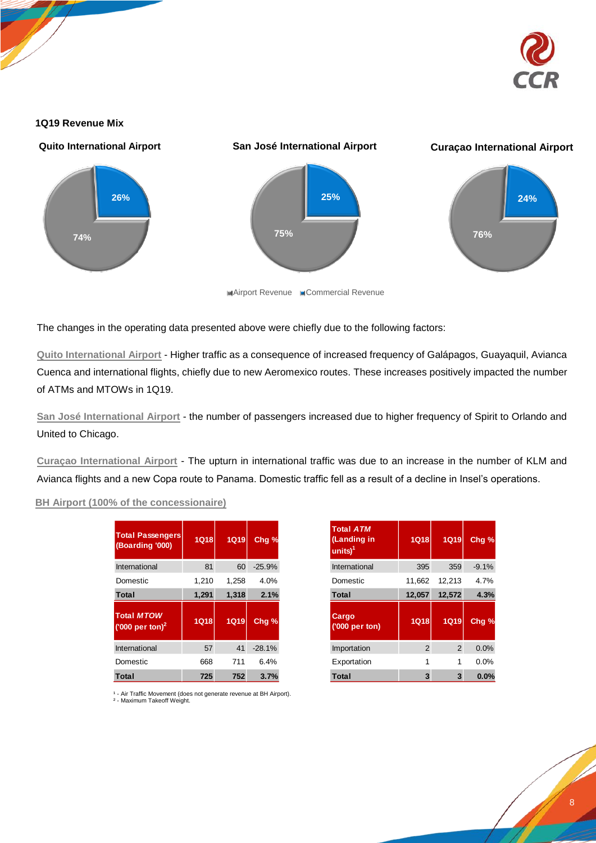

#### **1Q19 Revenue Mix**



The changes in the operating data presented above were chiefly due to the following factors:

**Quito International Airport** - Higher traffic as a consequence of increased frequency of Galápagos, Guayaquil, Avianca Cuenca and international flights, chiefly due to new Aeromexico routes. These increases positively impacted the number of ATMs and MTOWs in 1Q19.

**San José International Airport** - the number of passengers increased due to higher frequency of Spirit to Orlando and United to Chicago.

**Curaçao International Airport** - The upturn in international traffic was due to an increase in the number of KLM and Avianca flights and a new Copa route to Panama. Domestic traffic fell as a result of a decline in Insel's operations.

## **BH Airport (100% of the concessionaire)**

| <b>Total Passengers</b><br>(Boarding '000)       | 1Q18        | <b>1Q19</b> | Chg %            |
|--------------------------------------------------|-------------|-------------|------------------|
| International                                    | 81          | 60          | $-25.9%$         |
| Domestic                                         | 1,210       | 1,258       | 4.0%             |
| <b>Total</b>                                     | 1,291       | 1,318       | 2.1%             |
| <b>Total MTOW</b><br>('000 per ton) <sup>2</sup> | <b>1Q18</b> | <b>1Q19</b> | Chg <sub>%</sub> |
| International                                    | 57          | 41          | $-28.1%$         |
| Domestic                                         | 668         | 711         | 6.4%             |
| <b>Total</b>                                     | 725         | 752         | 3.7%             |

| <b>Total Passengers</b><br>(Boarding '000) | <b>1Q18</b> | <b>1Q19</b> | Chq %    | <b>Total ATM</b><br>(Landing in<br>$units)^1$ | <b>1Q18</b> | <b>1Q19</b>    | Chg % |
|--------------------------------------------|-------------|-------------|----------|-----------------------------------------------|-------------|----------------|-------|
| International                              | 81          | 60          | $-25.9%$ | International                                 | 395         | 359            |       |
|                                            | 1.210       | 1.258       | 4.0%     | Domestic                                      | 11,662      | 12,213         |       |
|                                            | 1,291       | 1,318       | 2.1%     | <b>Total</b>                                  | 12,057      | 12,572         |       |
| ('000 per ton) <sup>2</sup>                | <b>1Q18</b> | <b>1Q19</b> | Chg %    | Cargo<br>('000 per ton)                       | <b>1Q18</b> | <b>1Q19</b>    | Chg % |
|                                            | 57          | 41          | $-28.1%$ | Importation                                   | 2           | $\overline{2}$ |       |
|                                            | 668         | 711         | 6.4%     | Exportation                                   |             | 1              |       |
|                                            | 725         | 752         | 3.7%     | <b>Total</b>                                  | 3           | 3              |       |

1 - Air Traffic Movement (does not generate revenue at BH Airport).<br><sup>2</sup> - Maximum Takeoff Weight.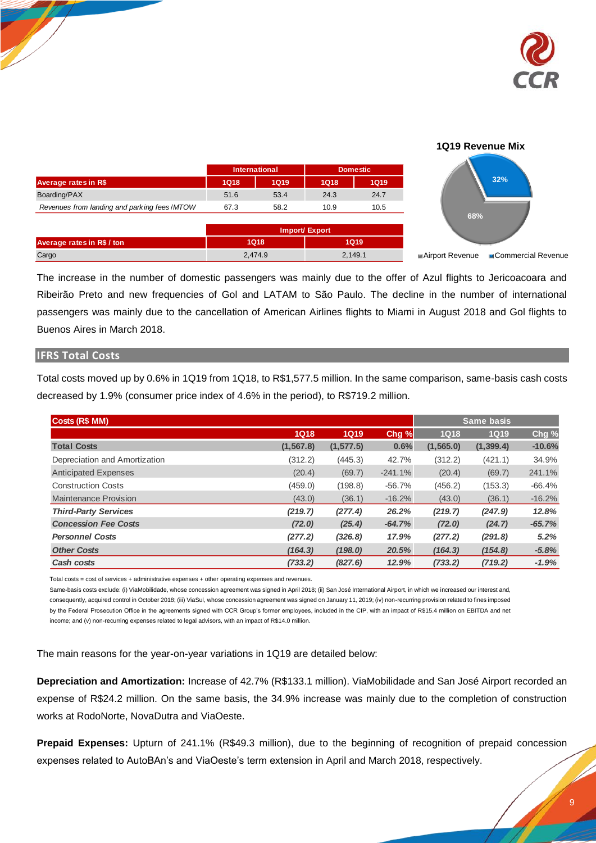

## **1Q19 Revenue Mix**

|      |             | <b>Domestic</b>      |      |  |
|------|-------------|----------------------|------|--|
| 1Q18 | <b>1Q19</b> | <b>1Q18</b>          | 1Q19 |  |
| 51.6 | 53.4        | 24.3                 | 24.7 |  |
| 67.3 | 58.2        | 10.9                 | 10.5 |  |
|      |             | <b>International</b> |      |  |

|                            |         | Import/ Export |
|----------------------------|---------|----------------|
| Average rates in R\$ / ton | 1Q18    | <b>1Q19</b>    |
| Cargo                      | 2.474.9 | 2,149.1        |



The increase in the number of domestic passengers was mainly due to the offer of Azul flights to Jericoacoara and Ribeirão Preto and new frequencies of Gol and LATAM to São Paulo. The decline in the number of international passengers was mainly due to the cancellation of American Airlines flights to Miami in August 2018 and Gol flights to Buenos Aires in March 2018.

#### **IFRS Total Costs**

Total costs moved up by 0.6% in 1Q19 from 1Q18, to R\$1,577.5 million. In the same comparison, same-basis cash costs decreased by 1.9% (consumer price index of 4.6% in the period), to R\$719.2 million.

| Costs (R\$ MM)                |             |             |           |             | <b>Same basis</b> |          |
|-------------------------------|-------------|-------------|-----------|-------------|-------------------|----------|
|                               | <b>1Q18</b> | <b>1Q19</b> | Chg %     | <b>1Q18</b> | <b>1Q19</b>       | Chg %    |
| <b>Total Costs</b>            | (1, 567.8)  | (1, 577.5)  | 0.6%      | (1, 565.0)  | (1, 399.4)        | $-10.6%$ |
| Depreciation and Amortization | (312.2)     | (445.3)     | 42.7%     | (312.2)     | (421.1)           | 34.9%    |
| <b>Anticipated Expenses</b>   | (20.4)      | (69.7)      | $-241.1%$ | (20.4)      | (69.7)            | 241.1%   |
| <b>Construction Costs</b>     | (459.0)     | (198.8)     | $-56.7%$  | (456.2)     | (153.3)           | $-66.4%$ |
| <b>Maintenance Provision</b>  | (43.0)      | (36.1)      | $-16.2%$  | (43.0)      | (36.1)            | $-16.2%$ |
| <b>Third-Party Services</b>   | (219.7)     | (277.4)     | 26.2%     | (219.7)     | (247.9)           | 12.8%    |
| <b>Concession Fee Costs</b>   | (72.0)      | (25.4)      | $-64.7%$  | (72.0)      | (24.7)            | $-65.7%$ |
| <b>Personnel Costs</b>        | (277.2)     | (326.8)     | 17.9%     | (277.2)     | (291.8)           | 5.2%     |
| <b>Other Costs</b>            | (164.3)     | (198.0)     | 20.5%     | (164.3)     | (154.8)           | $-5.8%$  |
| Cash costs                    | (733.2)     | (827.6)     | 12.9%     | (733.2)     | (719.2)           | $-1.9%$  |

Total costs = cost of services + administrative expenses + other operating expenses and revenues.

Same-basis costs exclude: (i) ViaMobilidade, whose concession agreement was signed in April 2018; (ii) San José International Airport, in which we increased our interest and, consequently, acquired control in October 2018; (iii) ViaSul, whose concession agreement was signed on January 11, 2019; (iv) non-recurring provision related to fines imposed by the Federal Prosecution Office in the agreements signed with CCR Group's former employees, included in the CIP, with an impact of R\$15.4 million on EBITDA and net income; and (v) non-recurring expenses related to legal advisors, with an impact of R\$14.0 million.

The main reasons for the year-on-year variations in 1Q19 are detailed below:

**Depreciation and Amortization:** Increase of 42.7% (R\$133.1 million). ViaMobilidade and San José Airport recorded an expense of R\$24.2 million. On the same basis, the 34.9% increase was mainly due to the completion of construction works at RodoNorte, NovaDutra and ViaOeste.

**Prepaid Expenses:** Upturn of 241.1% (R\$49.3 million), due to the beginning of recognition of prepaid concession expenses related to AutoBAn's and ViaOeste's term extension in April and March 2018, respectively.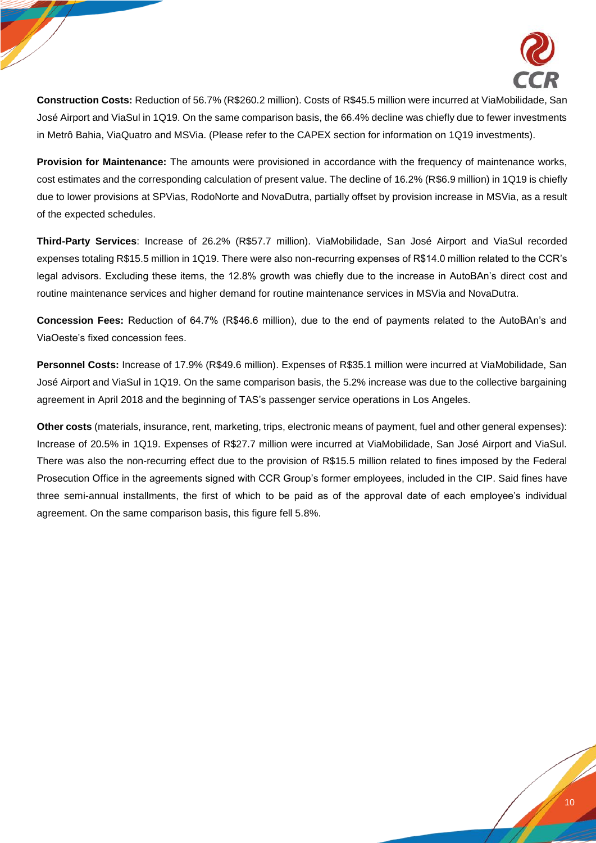

**Construction Costs:** Reduction of 56.7% (R\$260.2 million). Costs of R\$45.5 million were incurred at ViaMobilidade, San José Airport and ViaSul in 1Q19. On the same comparison basis, the 66.4% decline was chiefly due to fewer investments in Metrô Bahia, ViaQuatro and MSVia. (Please refer to the CAPEX section for information on 1Q19 investments).

**Provision for Maintenance:** The amounts were provisioned in accordance with the frequency of maintenance works, cost estimates and the corresponding calculation of present value. The decline of 16.2% (R\$6.9 million) in 1Q19 is chiefly due to lower provisions at SPVias, RodoNorte and NovaDutra, partially offset by provision increase in MSVia, as a result of the expected schedules.

**Third-Party Services**: Increase of 26.2% (R\$57.7 million). ViaMobilidade, San José Airport and ViaSul recorded expenses totaling R\$15.5 million in 1Q19. There were also non-recurring expenses of R\$14.0 million related to the CCR's legal advisors. Excluding these items, the 12.8% growth was chiefly due to the increase in AutoBAn's direct cost and routine maintenance services and higher demand for routine maintenance services in MSVia and NovaDutra.

**Concession Fees:** Reduction of 64.7% (R\$46.6 million), due to the end of payments related to the AutoBAn's and ViaOeste's fixed concession fees.

**Personnel Costs:** Increase of 17.9% (R\$49.6 million). Expenses of R\$35.1 million were incurred at ViaMobilidade, San José Airport and ViaSul in 1Q19. On the same comparison basis, the 5.2% increase was due to the collective bargaining agreement in April 2018 and the beginning of TAS's passenger service operations in Los Angeles.

**Other costs** (materials, insurance, rent, marketing, trips, electronic means of payment, fuel and other general expenses): Increase of 20.5% in 1Q19. Expenses of R\$27.7 million were incurred at ViaMobilidade, San José Airport and ViaSul. There was also the non-recurring effect due to the provision of R\$15.5 million related to fines imposed by the Federal Prosecution Office in the agreements signed with CCR Group's former employees, included in the CIP. Said fines have three semi-annual installments, the first of which to be paid as of the approval date of each employee's individual agreement. On the same comparison basis, this figure fell 5.8%.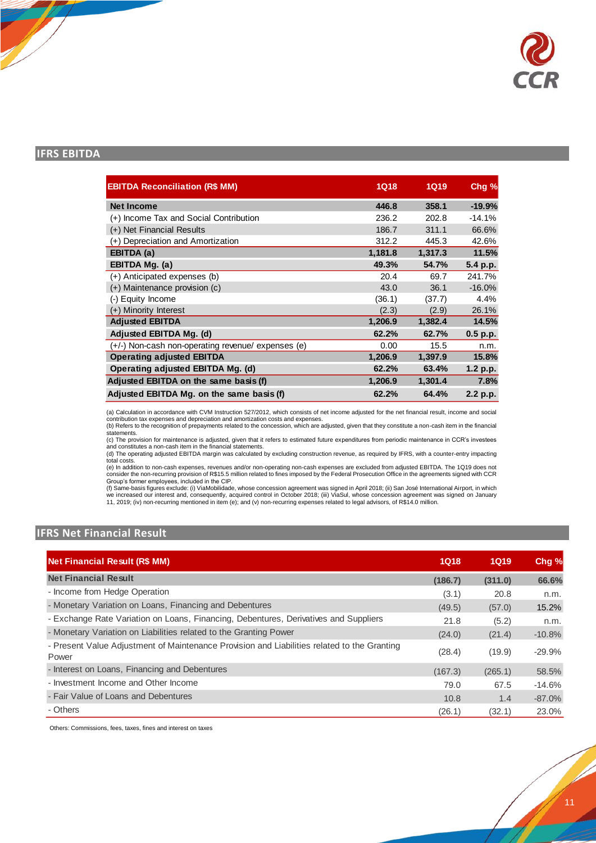

## **IFRS EBITDA**

| <b>EBITDA Reconciliation (R\$ MM)</b>              | <b>1Q18</b> | 1Q19    | Chg %    |
|----------------------------------------------------|-------------|---------|----------|
| <b>Net Income</b>                                  | 446.8       | 358.1   | $-19.9%$ |
| (+) Income Tax and Social Contribution             | 236.2       | 202.8   | $-14.1%$ |
| (+) Net Financial Results                          | 186.7       | 311.1   | 66.6%    |
| (+) Depreciation and Amortization                  | 312.2       | 445.3   | 42.6%    |
| EBITDA (a)                                         | 1,181.8     | 1,317.3 | 11.5%    |
| EBITDA Mg. (a)                                     | 49.3%       | 54.7%   | 5.4 p.p. |
| (+) Anticipated expenses (b)                       | 20.4        | 69.7    | 241.7%   |
| (+) Maintenance provision (c)                      | 43.0        | 36.1    | $-16.0%$ |
| (-) Equity Income                                  | (36.1)      | (37.7)  | 4.4%     |
| (+) Minority Interest                              | (2.3)       | (2.9)   | 26.1%    |
| <b>Adjusted EBITDA</b>                             | 1,206.9     | 1,382.4 | 14.5%    |
| Adjusted EBITDA Mg. (d)                            | 62.2%       | 62.7%   | 0.5 p.p. |
| (+/-) Non-cash non-operating revenue/ expenses (e) | 0.00        | 15.5    | n.m.     |
| <b>Operating adjusted EBITDA</b>                   | 1,206.9     | 1,397.9 | 15.8%    |
| Operating adjusted EBITDA Mg. (d)                  | 62.2%       | 63.4%   | 1.2 p.p. |
| Adjusted EBITDA on the same basis (f)              | 1,206.9     | 1,301.4 | 7.8%     |
| Adjusted EBITDA Mg. on the same basis (f)          | 62.2%       | 64.4%   | 2.2 p.p. |

(a) Calculation in accordance with CVM Instruction 527/2012, which consists of net income adjusted for the net financial result, income and social<br>contribution tax expenses and depreciation and amortization costs and expen

statements.

(c) The provision for maintenance is adjusted, given that it refers to estimated future expenditures from periodic maintenance in CCR's investees<br>and constitutes a non-cash item in the financial statements.<br>(d) The operati

total costs. (e) In addition to non-cash expenses, revenues and/or non-operating non-cash expenses are excluded from adjusted EBITDA. The 1Q19 does not<br>consider the non-recurring provision of R\$15.5 million related to fines imposed by

(f) Same-basis figures exclude: (i) ViaMobilidade, whose concession agreement was signed in April 2018; (ii) San José International Airport, in which<br>we increased our interest and, consequently, acquired control in October 11, 2019; (iv) non-recurring mentioned in item (e); and (v) non-recurring expenses related to legal advisors, of R\$14.0 million.

# **IFRS Net Financial Result**

| <b>Net Financial Result (R\$ MM)</b>                                                                 | <b>1Q18</b> | 1Q19    | Chg %    |
|------------------------------------------------------------------------------------------------------|-------------|---------|----------|
| <b>Net Financial Result</b>                                                                          | (186.7)     | (311.0) | 66.6%    |
| - Income from Hedge Operation                                                                        | (3.1)       | 20.8    | n.m.     |
| - Monetary Variation on Loans, Financing and Debentures                                              | (49.5)      | (57.0)  | 15.2%    |
| - Exchange Rate Variation on Loans, Financing, Debentures, Derivatives and Suppliers                 | 21.8        | (5.2)   | n.m.     |
| - Monetary Variation on Liabilities related to the Granting Power                                    | (24.0)      | (21.4)  | $-10.8%$ |
| - Present Value Adjustment of Maintenance Provision and Liabilities related to the Granting<br>Power | (28.4)      | (19.9)  | $-29.9%$ |
| - Interest on Loans, Financing and Debentures                                                        | (167.3)     | (265.1) | 58.5%    |
| - Investment Income and Other Income                                                                 | 79.0        | 67.5    | $-14.6%$ |
| - Fair Value of Loans and Debentures                                                                 | 10.8        | 1.4     | $-87.0%$ |
| - Others                                                                                             | (26.1)      | (32.1)  | 23.0%    |

Others: Commissions, fees, taxes, fines and interest on taxes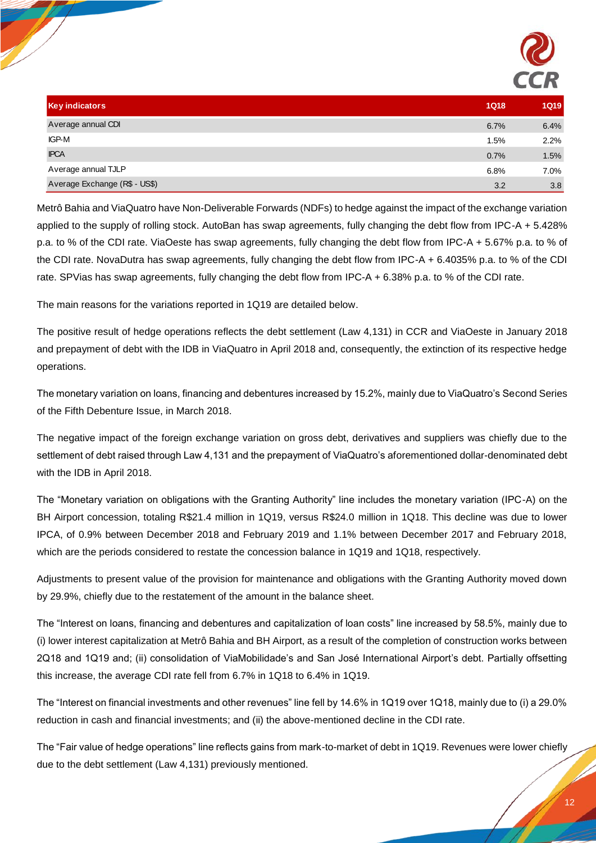

| <b>Key indicators</b>         | <b>1Q18</b> | <b>1Q19</b> |
|-------------------------------|-------------|-------------|
| Average annual CDI            | 6.7%        | 6.4%        |
| IGP-M                         | 1.5%        | 2.2%        |
| <b>IPCA</b>                   | 0.7%        | 1.5%        |
| Average annual TJLP           | 6.8%        | 7.0%        |
| Average Exchange (R\$ - US\$) | 3.2         | 3.8         |

Metrô Bahia and ViaQuatro have Non-Deliverable Forwards (NDFs) to hedge against the impact of the exchange variation applied to the supply of rolling stock. AutoBan has swap agreements, fully changing the debt flow from IPC-A + 5.428% p.a. to % of the CDI rate. ViaOeste has swap agreements, fully changing the debt flow from IPC-A + 5.67% p.a. to % of the CDI rate. NovaDutra has swap agreements, fully changing the debt flow from IPC-A + 6.4035% p.a. to % of the CDI rate. SPVias has swap agreements, fully changing the debt flow from IPC-A + 6.38% p.a. to % of the CDI rate.

The main reasons for the variations reported in 1Q19 are detailed below.

The positive result of hedge operations reflects the debt settlement (Law 4,131) in CCR and ViaOeste in January 2018 and prepayment of debt with the IDB in ViaQuatro in April 2018 and, consequently, the extinction of its respective hedge operations.

The monetary variation on loans, financing and debentures increased by 15.2%, mainly due to ViaQuatro's Second Series of the Fifth Debenture Issue, in March 2018.

The negative impact of the foreign exchange variation on gross debt, derivatives and suppliers was chiefly due to the settlement of debt raised through Law 4,131 and the prepayment of ViaQuatro's aforementioned dollar-denominated debt with the IDB in April 2018.

The "Monetary variation on obligations with the Granting Authority" line includes the monetary variation (IPC-A) on the BH Airport concession, totaling R\$21.4 million in 1Q19, versus R\$24.0 million in 1Q18. This decline was due to lower IPCA, of 0.9% between December 2018 and February 2019 and 1.1% between December 2017 and February 2018, which are the periods considered to restate the concession balance in 1Q19 and 1Q18, respectively.

Adjustments to present value of the provision for maintenance and obligations with the Granting Authority moved down by 29.9%, chiefly due to the restatement of the amount in the balance sheet.

The "Interest on loans, financing and debentures and capitalization of loan costs" line increased by 58.5%, mainly due to (i) lower interest capitalization at Metrô Bahia and BH Airport, as a result of the completion of construction works between 2Q18 and 1Q19 and; (ii) consolidation of ViaMobilidade's and San José International Airport's debt. Partially offsetting this increase, the average CDI rate fell from 6.7% in 1Q18 to 6.4% in 1Q19.

The "Interest on financial investments and other revenues" line fell by 14.6% in 1Q19 over 1Q18, mainly due to (i) a 29.0% reduction in cash and financial investments; and (ii) the above-mentioned decline in the CDI rate.

The "Fair value of hedge operations" line reflects gains from mark-to-market of debt in 1Q19. Revenues were lower chiefly due to the debt settlement (Law 4,131) previously mentioned.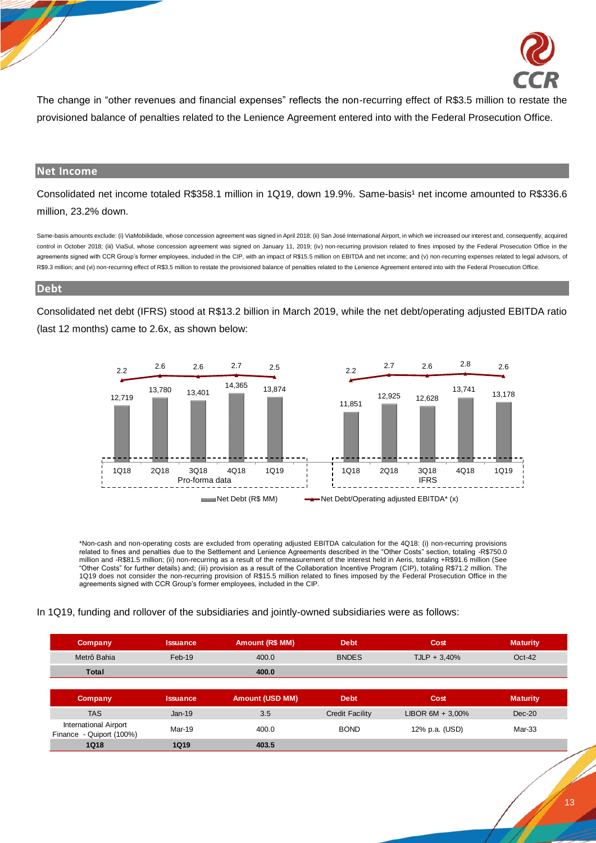

The change in "other revenues and financial expenses" reflects the non-recurring effect of R\$3.5 million to restate the provisioned balance of penalties related to the Lenience Agreement entered into with the Federal Prosecution Office.

#### **Net Income**

Consolidated net income totaled R\$358.1 million in 1Q19, down 19.9%. Same-basis<sup>1</sup> net income amounted to R\$336.6 million, 23.2% down.

Same-basis amounts exclude: (i) ViaMobilidade, whose concession agreement was signed in April 2018; (ii) San José International Airport, in which we increased our interest and, consequently, acquired control in October 2018; (iii) ViaSul, whose concession agreement was signed on January 11, 2019; (iv) non-recurring provision related to fines imposed by the Federal Prosecution Office in the agreements signed with CCR Group's former employees, included in the CIP, with an impact of R\$15.5 million on EBITDA and net income; and (v) non-recurring expenses related to legal advisors, of R\$9.3 million; and (vi) non-recurring effect of R\$3.5 million to restate the provisioned balance of penalties related to the Lenience Agreement entered into with the Federal Prosecution Office.

#### **Debt**

Consolidated net debt (IFRS) stood at R\$13.2 billion in March 2019, while the net debt/operating adjusted EBITDA ratio (last 12 months) came to 2.6x, as shown below:



\*Non-cash and non-operating costs are excluded from operating adjusted EBITDA calculation for the 4Q18: (i) non-recurring provisions related to fines and penalties due to the Settlement and Lenience Agreements described in the "Other Costs" section, totaling -R\$750.0 million and -R\$81.5 million; (ii) non-recurring as a result of the remeasurement of the interest held in Aeris, totaling +R\$91.6 million (See "Other Costs" for further details) and; (iii) provision as a result of the Collaboration Incentive Program (CIP), totaling R\$71.2 million. The 1Q19 does not consider the non-recurring provision of R\$15.5 million related to fines imposed by the Federal Prosecution Office in the agreements signed with CCR Group's former employees, included in the CIP.

#### In 1Q19, funding and rollover of the subsidiaries and jointly-owned subsidiaries were as follows:

| <b>Company</b>                                              | <b>Issuance</b> | <b>Amount (R\$ MM)</b> | <b>Debt</b>            | Cost                | <b>Maturity</b> |
|-------------------------------------------------------------|-----------------|------------------------|------------------------|---------------------|-----------------|
| Metrô Bahia                                                 | Feb-19          | 400.0                  | <b>BNDES</b>           | $TLP + 3,40%$       | $Oct-42$        |
| <b>Total</b>                                                |                 | 400.0                  |                        |                     |                 |
|                                                             |                 |                        |                        |                     |                 |
|                                                             |                 |                        |                        |                     |                 |
| <b>Company</b>                                              | <b>Issuance</b> | <b>Amount (USD MM)</b> | <b>Debt</b>            | Cost                | <b>Maturity</b> |
| <b>TAS</b>                                                  | $Jan-19$        | 3.5                    | <b>Credit Facility</b> | LIBOR $6M + 3,00\%$ | $Dec-20$        |
| <b>International Airport</b><br>- Quiport (100%)<br>Finance | Mar-19          | 400.0                  | <b>BOND</b>            | 12% p.a. (USD)      | Mar-33          |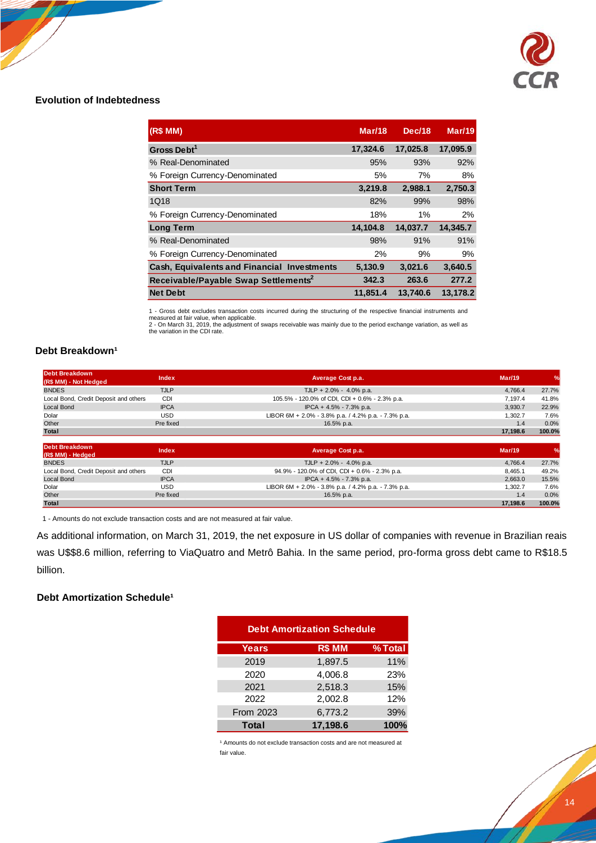

## **Evolution of Indebtedness**

| (R\$ MM)                                         | <b>Mar/18</b> | Dec/18   | <b>Mar/19</b> |
|--------------------------------------------------|---------------|----------|---------------|
| Gross Debt <sup>1</sup>                          | 17,324.6      | 17,025.8 | 17,095.9      |
| % Real-Denominated                               | 95%           | 93%      | 92%           |
| % Foreign Currency-Denominated                   | 5%            | 7%       | 8%            |
| <b>Short Term</b>                                | 3,219.8       | 2,988.1  | 2,750.3       |
| 1Q18                                             | 82%           | 99%      | 98%           |
| % Foreign Currency-Denominated                   | 18%           | 1%       | 2%            |
| <b>Long Term</b>                                 | 14,104.8      | 14,037.7 | 14,345.7      |
| % Real-Denominated                               | 98%           | 91%      | 91%           |
| % Foreign Currency-Denominated                   | 2%            | 9%       | 9%            |
| Cash, Equivalents and Financial Investments      | 5,130.9       | 3,021.6  | 3,640.5       |
| Receivable/Payable Swap Settlements <sup>2</sup> | 342.3         | 263.6    | 277.2         |
| <b>Net Debt</b>                                  | 11,851.4      | 13,740.6 | 13,178.2      |

1 - Gross debt excludes transaction costs incurred during the structuring of the respective financial instruments and measured at fair value, when applicable.

2 - On March 31, 2019, the adjustment of swaps receivable was mainly due to the period exchange variation, as well as the variation in the CDI rate.

## **Debt Breakdown<sup>1</sup>**

| Debt Breakdown<br>(R\$ MM) - Not Hedged | Index       | Average Cost p.a.                                   | Mar/19   | $\frac{1}{2}$ |
|-----------------------------------------|-------------|-----------------------------------------------------|----------|---------------|
| <b>BNDES</b>                            | <b>TJLP</b> | TJLP + 2.0% - 4.0% p.a.                             | 4.766.4  | 27.7%         |
| Local Bond, Credit Deposit and others   | <b>CDI</b>  | 105.5% - 120.0% of CDI, CDI + 0.6% - 2.3% p.a.      | 7.197.4  | 41.8%         |
| Local Bond                              | <b>IPCA</b> | IPCA + 4.5% - 7.3% p.a.                             | 3.930.7  | 22.9%         |
| Dolar                                   | USD         | LIBOR 6M + 2.0% - 3.8% p.a. / 4.2% p.a. - 7.3% p.a. | 1.302.7  | 7.6%          |
| Other                                   | Pre fixed   | 16.5% p.a.                                          | 1.4      | 0.0%          |
| <b>Total</b>                            |             |                                                     | 17.198.6 | 100.0%        |
|                                         |             |                                                     |          |               |

| Debt Breakdown<br>(R\$ MM) - Hedged   | Index       | Average Cost p.a.                                   | <b>Mar/19</b> | $\frac{9}{6}$ |
|---------------------------------------|-------------|-----------------------------------------------------|---------------|---------------|
| <b>BNDES</b>                          | <b>TJLP</b> | TJLP + $2.0\%$ - $4.0\%$ p.a.                       | 4.766.4       | 27.7%         |
| Local Bond, Credit Deposit and others | CDI         | 94.9% - 120.0% of CDI, CDI + 0.6% - 2.3% p.a.       | 8.465.1       | 49.2%         |
| Local Bond                            | <b>IPCA</b> | IPCA + 4.5% - 7.3% p.a.                             | 2.663.0       | 15.5%         |
| Dolar                                 | USD         | LIBOR 6M + 2.0% - 3.8% p.a. / 4.2% p.a. - 7.3% p.a. | 1.302.7       | 7.6%          |
| Other                                 | Pre fixed   | 16.5% p.a.                                          | 1.4           | 0.0%          |
| <b>Total</b>                          |             |                                                     | 17.198.6      | 100.0%        |

1 - Amounts do not exclude transaction costs and are not measured at fair value.

As additional information, on March 31, 2019, the net exposure in US dollar of companies with revenue in Brazilian reais was U\$\$8.6 million, referring to ViaQuatro and Metrô Bahia. In the same period, pro-forma gross debt came to R\$18.5 billion.

## **Debt Amortization Schedule<sup>1</sup>**

| <b>Debt Amortization Schedule</b> |          |         |  |  |
|-----------------------------------|----------|---------|--|--|
| <b>Years</b>                      | R\$ MM   | % Total |  |  |
| 2019                              | 1,897.5  | 11%     |  |  |
| 2020                              | 4,006.8  | 23%     |  |  |
| 2021                              | 2,518.3  | 15%     |  |  |
| 2022                              | 2,002.8  | 12%     |  |  |
| <b>From 2023</b>                  | 6,773.2  | 39%     |  |  |
| <b>Total</b>                      | 17,198.6 | 100%    |  |  |

<sup>1</sup> Amounts do not exclude transaction costs and are not measured at fair value.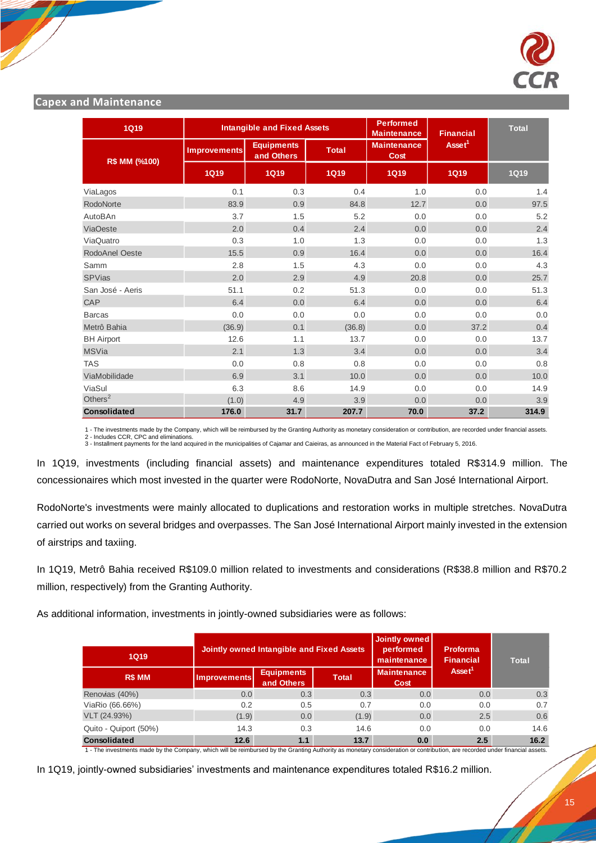

## **Capex and Maintenance**

| <b>1Q19</b>                                                                                                                                                                                                                                                                                                                                                                                                                                                                                                                                                                                                                    |                     | <b>Intangible and Fixed Assets</b>               |              | <b>Performed</b><br>Maintenance | <b>Financial</b>             | <b>Total</b>                               |
|--------------------------------------------------------------------------------------------------------------------------------------------------------------------------------------------------------------------------------------------------------------------------------------------------------------------------------------------------------------------------------------------------------------------------------------------------------------------------------------------------------------------------------------------------------------------------------------------------------------------------------|---------------------|--------------------------------------------------|--------------|---------------------------------|------------------------------|--------------------------------------------|
|                                                                                                                                                                                                                                                                                                                                                                                                                                                                                                                                                                                                                                | Improvements        | <b>Equipments</b><br>and Others                  | <b>Total</b> | <b>Maintenance</b><br>Cost      | Asset <sup>1</sup>           |                                            |
| R\$ MM (%100)                                                                                                                                                                                                                                                                                                                                                                                                                                                                                                                                                                                                                  | <b>1Q19</b>         | <b>1Q19</b>                                      | <b>1Q19</b>  | <b>1Q19</b>                     | <b>1Q19</b>                  | <b>1Q19</b>                                |
| ViaLagos                                                                                                                                                                                                                                                                                                                                                                                                                                                                                                                                                                                                                       | 0.1                 | 0.3                                              | 0.4          | 1.0                             | 0.0                          | 1.4                                        |
| RodoNorte                                                                                                                                                                                                                                                                                                                                                                                                                                                                                                                                                                                                                      | 83.9                | 0.9                                              | 84.8         | 12.7                            | 0.0                          | 97.5                                       |
| AutoBAn                                                                                                                                                                                                                                                                                                                                                                                                                                                                                                                                                                                                                        | 3.7                 | 1.5                                              | 5.2          | 0.0                             | 0.0                          | 5.2                                        |
| <b>ViaOeste</b>                                                                                                                                                                                                                                                                                                                                                                                                                                                                                                                                                                                                                | 2.0                 | 0.4                                              | 2.4          | 0.0                             | 0.0                          | 2.4                                        |
| ViaQuatro                                                                                                                                                                                                                                                                                                                                                                                                                                                                                                                                                                                                                      | 0.3                 | 1.0                                              | 1.3          | 0.0                             | 0.0                          | 1.3                                        |
| RodoAnel Oeste                                                                                                                                                                                                                                                                                                                                                                                                                                                                                                                                                                                                                 | 15.5                | 0.9                                              | 16.4         | 0.0                             | 0.0                          | 16.4                                       |
| Samm                                                                                                                                                                                                                                                                                                                                                                                                                                                                                                                                                                                                                           | 2.8                 | 1.5                                              | 4.3          | 0.0                             | 0.0                          | 4.3                                        |
| <b>SPVias</b>                                                                                                                                                                                                                                                                                                                                                                                                                                                                                                                                                                                                                  | 2.0                 | 2.9                                              | 4.9          | 20.8                            | 0.0                          | 25.7                                       |
| San José - Aeris                                                                                                                                                                                                                                                                                                                                                                                                                                                                                                                                                                                                               | 51.1                | 0.2                                              | 51.3         | 0.0                             | 0.0                          | 51.3                                       |
| CAP                                                                                                                                                                                                                                                                                                                                                                                                                                                                                                                                                                                                                            | 6.4                 | 0.0                                              | 6.4          | 0.0                             | 0.0                          | 6.4                                        |
| <b>Barcas</b>                                                                                                                                                                                                                                                                                                                                                                                                                                                                                                                                                                                                                  | 0.0                 | 0.0                                              | 0.0          | 0.0                             | 0.0                          | 0.0                                        |
| Metrô Bahia                                                                                                                                                                                                                                                                                                                                                                                                                                                                                                                                                                                                                    | (36.9)              | 0.1                                              | (36.8)       | 0.0                             | 37.2                         | 0.4                                        |
| <b>BH</b> Airport                                                                                                                                                                                                                                                                                                                                                                                                                                                                                                                                                                                                              | 12.6                | 1.1                                              | 13.7         | 0.0                             | 0.0                          | 13.7                                       |
| <b>MSVia</b>                                                                                                                                                                                                                                                                                                                                                                                                                                                                                                                                                                                                                   | 2.1                 | 1.3                                              | 3.4          | 0.0                             | 0.0                          | 3.4                                        |
| <b>TAS</b>                                                                                                                                                                                                                                                                                                                                                                                                                                                                                                                                                                                                                     | 0.0                 | 0.8                                              | 0.8          | 0.0                             | 0.0                          | 0.8                                        |
| ViaMobilidade                                                                                                                                                                                                                                                                                                                                                                                                                                                                                                                                                                                                                  | 6.9                 | 3.1                                              | 10.0         | 0.0                             | 0.0                          | 10.0                                       |
| ViaSul                                                                                                                                                                                                                                                                                                                                                                                                                                                                                                                                                                                                                         | 6.3                 | 8.6                                              | 14.9         | 0.0                             | 0.0                          | 14.9                                       |
|                                                                                                                                                                                                                                                                                                                                                                                                                                                                                                                                                                                                                                | (1.0)               | 4.9                                              | 3.9          | 0.0                             | 0.0                          | 3.9                                        |
| Others $2$                                                                                                                                                                                                                                                                                                                                                                                                                                                                                                                                                                                                                     |                     |                                                  |              |                                 |                              |                                            |
| Consolidated<br>1 - The investments made by the Company, which will be reimbursed by the Granting Authority as monetary consideration or contribution, are recorded under financial assets.<br>2 - Includes CCR, CPC and eliminations.<br>3 - Installment payments for the land acquired in the municipalities of Cajamar and Caieiras, as announced in the Material Fact of February 5, 2016.<br>In 1Q19, investments (including financial assets) and maintenance expenditures totaled R\$314.9 million.<br>concessionaires which most invested in the quarter were RodoNorte, NovaDutra and San José International Airport. | 176.0               | 31.7                                             | 207.7        | 70.0                            | 37.2                         |                                            |
| RodoNorte's investments were mainly allocated to duplications and restoration works in multiple stretches. NovaD<br>carried out works on several bridges and overpasses. The San José International Airport mainly invested in the exten<br>of airstrips and taxiing.<br>In 1Q19, Metrô Bahia received R\$109.0 million related to investments and considerations (R\$38.8 million and R\$7<br>million, respectively) from the Granting Authority.<br>As additional information, investments in jointly-owned subsidiaries were as follows:                                                                                    |                     |                                                  |              | <b>Jointly owned</b>            |                              |                                            |
| <b>1Q19</b>                                                                                                                                                                                                                                                                                                                                                                                                                                                                                                                                                                                                                    |                     | <b>Jointly owned Intangible and Fixed Assets</b> |              | performed<br>maintenance        | Proforma<br><b>Financial</b> | <b>Total</b>                               |
| R\$ MM                                                                                                                                                                                                                                                                                                                                                                                                                                                                                                                                                                                                                         | <b>Improvements</b> | <b>Equipments</b><br>and Others                  | <b>Total</b> | <b>Maintenance</b><br>Cost      | Asset <sup>1</sup>           |                                            |
| Renovias (40%)                                                                                                                                                                                                                                                                                                                                                                                                                                                                                                                                                                                                                 | 0.0                 | 0.3                                              | 0.3          | 0.0                             | 0.0                          |                                            |
| ViaRio (66.66%)                                                                                                                                                                                                                                                                                                                                                                                                                                                                                                                                                                                                                | 0.2                 | 0.5                                              | 0.7          | 0.0                             | 0.0                          |                                            |
| VLT (24.93%)                                                                                                                                                                                                                                                                                                                                                                                                                                                                                                                                                                                                                   | (1.9)               | 0.0                                              | (1.9)        | 0.0                             | 2.5                          |                                            |
| Quito - Quiport (50%)<br>Consolidated                                                                                                                                                                                                                                                                                                                                                                                                                                                                                                                                                                                          | 14.3<br>12.6        | 0.3<br>1.1                                       | 14.6<br>13.7 | 0.0<br>0.0                      | 0.0<br>2.5                   | 314.9<br>0.3<br>0.7<br>0.6<br>14.6<br>16.2 |

| 1Q19                  |                     | <b>Jointly owned Intangible and Fixed Assets</b> |              |                            | <b>Proforma</b><br><b>Financial</b> | <b>Total</b> |
|-----------------------|---------------------|--------------------------------------------------|--------------|----------------------------|-------------------------------------|--------------|
| R\$ MM                | <b>Improvements</b> | <b>Equipments</b><br>and Others                  | <b>Total</b> | <b>Maintenance</b><br>Cost | Asset <sup>1</sup>                  |              |
| Renovias (40%)        | 0.0                 | 0.3                                              | 0.3          | 0.0                        | 0.0                                 | 0.3          |
| ViaRio (66.66%)       | 0.2                 | 0.5                                              | 0.7          | 0.0                        | 0.0                                 | 0.7          |
| VLT (24.93%)          | (1.9)               | 0.0                                              | (1.9)        | 0.0                        | 2.5                                 | 0.6          |
| Quito - Quiport (50%) | 14.3                | 0.3                                              | 14.6         | 0.0                        | 0.0                                 | 14.6         |
| <b>Consolidated</b>   | 12.6                | 1.1                                              | 13.7         | 0.0                        | 2.5                                 | 16.2         |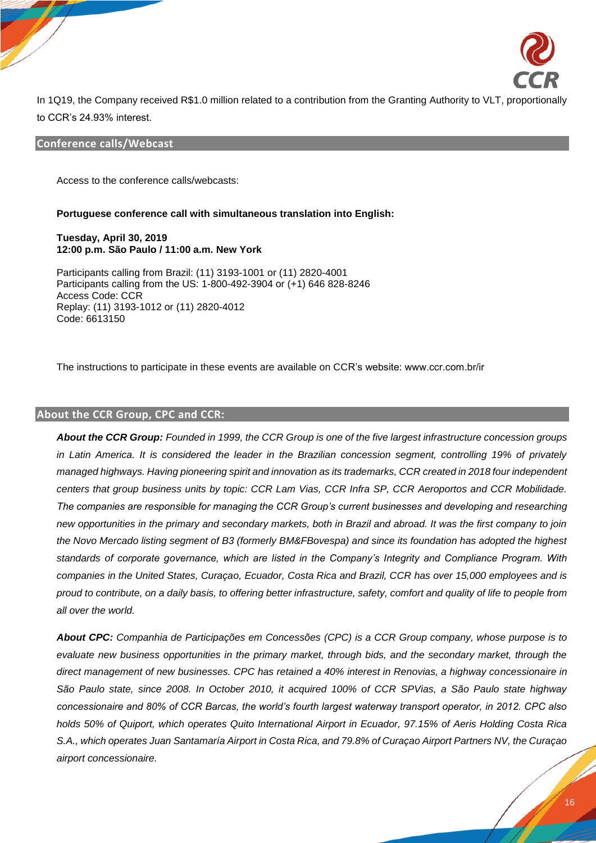

In 1Q19, the Company received R\$1.0 million related to a contribution from the Granting Authority to VLT, proportionally to CCR's 24.93% interest.

## **Conference calls/Webcast**

Access to the conference calls/webcasts:

#### **Portuguese conference call with simultaneous translation into English:**

**Tuesday, April 30, 2019 12:00 p.m. São Paulo / 11:00 a.m. New York**

Participants calling from Brazil: (11) 3193-1001 or (11) 2820-4001 Participants calling from the US: 1-800-492-3904 or (+1) 646 828-8246 Access Code: CCR Replay: (11) 3193-1012 or (11) 2820-4012 Code: 6613150

The instructions to participate in these events are available on CCR's website: www.ccr.com.br/ir

#### **About the CCR Group, CPC and CCR:**

*About the CCR Group: Founded in 1999, the CCR Group is one of the five largest infrastructure concession groups in Latin America. It is considered the leader in the Brazilian concession segment, controlling 19% of privately managed highways. Having pioneering spirit and innovation as its trademarks, CCR created in 2018 four independent centers that group business units by topic: CCR Lam Vias, CCR Infra SP, CCR Aeroportos and CCR Mobilidade. The companies are responsible for managing the CCR Group's current businesses and developing and researching new opportunities in the primary and secondary markets, both in Brazil and abroad. It was the first company to join the Novo Mercado listing segment of B3 (formerly BM&FBovespa) and since its foundation has adopted the highest standards of corporate governance, which are listed in the Company's Integrity and Compliance Program. With companies in the United States, Curaçao, Ecuador, Costa Rica and Brazil, CCR has over 15,000 employees and is proud to contribute, on a daily basis, to offering better infrastructure, safety, comfort and quality of life to people from all over the world.*

*About CPC: Companhia de Participações em Concessões (CPC) is a CCR Group company, whose purpose is to evaluate new business opportunities in the primary market, through bids, and the secondary market, through the direct management of new businesses. CPC has retained a 40% interest in Renovias, a highway concessionaire in São Paulo state, since 2008. In October 2010, it acquired 100% of CCR SPVias, a São Paulo state highway concessionaire and 80% of CCR Barcas, the world's fourth largest waterway transport operator, in 2012. CPC also holds 50% of Quiport, which operates Quito International Airport in Ecuador, 97.15% of Aeris Holding Costa Rica S.A., which operates Juan Santamaría Airport in Costa Rica, and 79.8% of Curaçao Airport Partners NV, the Curaçao airport concessionaire.*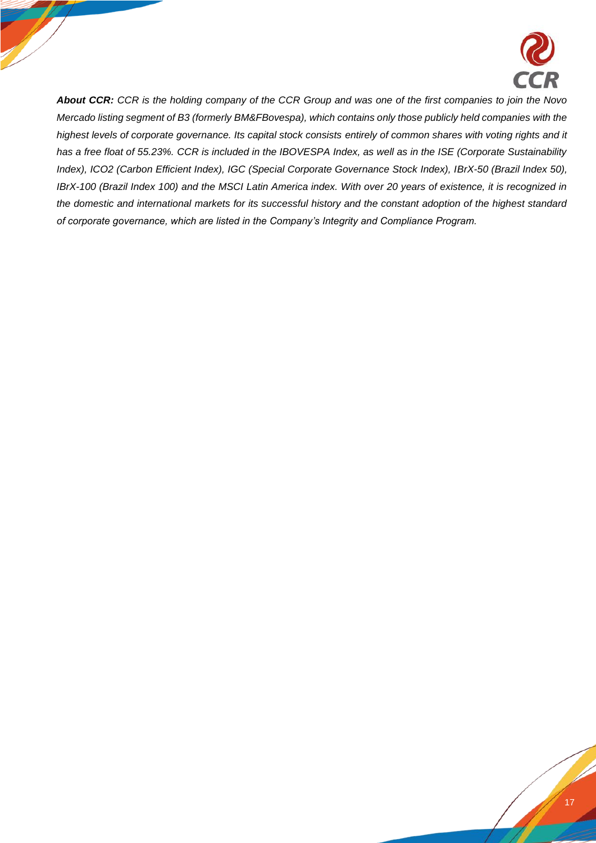

*About CCR: CCR is the holding company of the CCR Group and was one of the first companies to join the Novo Mercado listing segment of B3 (formerly BM&FBovespa), which contains only those publicly held companies with the highest levels of corporate governance. Its capital stock consists entirely of common shares with voting rights and it has a free float of 55.23%. CCR is included in the IBOVESPA Index, as well as in the ISE (Corporate Sustainability Index), ICO2 (Carbon Efficient Index), IGC (Special Corporate Governance Stock Index), IBrX-50 (Brazil Index 50), IBrX-100 (Brazil Index 100) and the MSCI Latin America index. With over 20 years of existence, it is recognized in the domestic and international markets for its successful history and the constant adoption of the highest standard of corporate governance, which are listed in the Company's Integrity and Compliance Program.*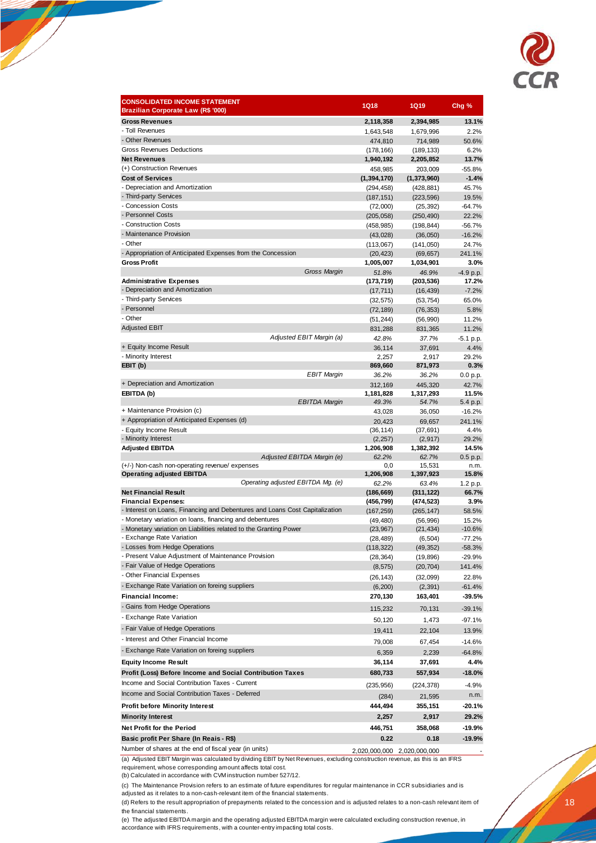

| <b>CONSOLIDATED INCOME STATEMENT</b><br>Brazilian Corporate Law (R\$ '000)                     | <b>1Q18</b>              | <b>1Q19</b>            | Chg %                |
|------------------------------------------------------------------------------------------------|--------------------------|------------------------|----------------------|
| <b>Gross Revenues</b>                                                                          | 2,118,358                | 2,394,985              | 13.1%                |
| - Toll Revenues                                                                                | 1,643,548                | 1,679,996              | 2.2%                 |
| - Other Revenues                                                                               | 474,810                  | 714,989                | 50.6%                |
| <b>Gross Revenues Deductions</b>                                                               | (178, 166)               | (189,133)              | 6.2%                 |
| <b>Net Revenues</b><br>(+) Construction Revenues                                               | 1,940,192                | 2,205,852              | 13.7%                |
| <b>Cost of Services</b>                                                                        | 458,985<br>(1, 394, 170) | 203,009<br>(1,373,960) | $-55.8%$<br>$-1.4%$  |
| - Depreciation and Amortization                                                                | (294, 458)               | (428,881)              | 45.7%                |
| - Third-party Services                                                                         | (187, 151)               | (223, 596)             | 19.5%                |
| - Concession Costs                                                                             | (72,000)                 | (25, 392)              | $-64.7%$             |
| - Personnel Costs                                                                              | (205, 058)               | (250, 490)             | 22.2%                |
| - Construction Costs                                                                           | (458, 985)               | (198,844)              | $-56.7%$             |
| - Maintenance Provision                                                                        | (43, 028)                | (36,050)               | $-16.2%$             |
| - Other                                                                                        | (113,067)                | (141, 050)             | 24.7%                |
| - Appropriation of Anticipated Expenses from the Concession                                    | (20, 423)                | (69, 657)              | 241.1%               |
| <b>Gross Profit</b>                                                                            | 1,005,007                | 1,034,901              | 3.0%                 |
| Gross Margin                                                                                   | 51.8%                    | 46.9%                  | $-4.9 p.p.$          |
| <b>Administrative Expenses</b><br>- Depreciation and Amortization                              | (173, 719)<br>(17, 711)  | (203,536)<br>(16, 439) | 17.2%<br>$-7.2%$     |
| - Third-party Services                                                                         | (32, 575)                | (53, 754)              | 65.0%                |
| - Personnel                                                                                    | (72, 189)                | (76, 353)              | 5.8%                 |
| - Other                                                                                        | (51, 244)                | (56, 990)              | 11.2%                |
| <b>Adjusted EBIT</b>                                                                           | 831,288                  | 831,365                | 11.2%                |
| Adjusted EBIT Margin (a)                                                                       | 42.8%                    | 37.7%                  | $-5.1$ p.p.          |
| + Equity Income Result                                                                         | 36,114                   | 37,691                 | 4.4%                 |
| - Minority Interest                                                                            | 2,257                    | 2,917                  | 29.2%                |
| EBIT (b)                                                                                       | 869,660                  | 871,973                | 0.3%                 |
| <b>EBIT Margin</b>                                                                             | 36.2%                    | 36.2%                  | 0.0 p.p.             |
| + Depreciation and Amortization                                                                | 312,169                  | 445,320                | 42.7%                |
| EBITDA (b)<br><b>EBITDA Margin</b>                                                             | 1,181,828<br>49.3%       | 1,317,293<br>54.7%     | 11.5%<br>5.4 p.p.    |
| + Maintenance Provision (c)                                                                    | 43,028                   | 36,050                 | $-16.2%$             |
| + Appropriation of Anticipated Expenses (d)                                                    | 20,423                   | 69,657                 | 241.1%               |
| - Equity Income Result                                                                         | (36, 114)                | (37, 691)              | 4.4%                 |
| - Minority Interest                                                                            | (2, 257)                 | (2, 917)               | 29.2%                |
| <b>Adjusted EBITDA</b>                                                                         | 1,206,908                | 1,382,392              | 14.5%                |
| Adjusted EBITDA Margin (e)                                                                     | 62.2%                    | 62.7%                  | 0.5 p.p.             |
| (+/-) Non-cash non-operating revenue/ expenses<br><b>Operating adjusted EBITDA</b>             | 0,0<br>1,206,908         | 15,531<br>1,397,923    | n.m.<br>15.8%        |
| Operating adjusted EBITDA Mg. (e)                                                              | 62.2%                    | 63.4%                  | 1.2 p.p.             |
| <b>Net Financial Result</b>                                                                    | (186, 669)               | (311, 122)             | 66.7%                |
| <b>Financial Expenses:</b>                                                                     | (456,799)                | (474,523)              | 3.9%                 |
| - Interest on Loans, Financing and Debentures and Loans Cost Capitalization                    | (167, 259)               | (265, 147)             | 58.5%                |
| - Monetary variation on loans, financing and debentures                                        | (49, 480)                | (56, 996)              | 15.2%                |
| - Monetary variation on Liabilities related to the Granting Power<br>- Exchange Rate Variation | (23, 967)                | (21, 434)              | $-10.6%$             |
| - Losses from Hedge Operations                                                                 | (28, 489)                | (6, 504)               | $-77.2%$             |
| - Present Value Adjustment of Maintenance Provision                                            | (118, 322)<br>(28, 364)  | (49, 352)<br>(19,896)  | $-58.3%$<br>$-29.9%$ |
| - Fair Value of Hedge Operations                                                               | (8, 575)                 | (20, 704)              | 141.4%               |
| - Other Financial Expenses                                                                     | (26, 143)                | (32,099)               | 22.8%                |
| - Exchange Rate Variation on foreing suppliers                                                 | (6, 200)                 | (2, 391)               | $-61.4%$             |
| <b>Financial Income:</b>                                                                       | 270,130                  | 163,401                | $-39.5%$             |
| - Gains from Hedge Operations                                                                  |                          |                        |                      |
| - Exchange Rate Variation                                                                      | 115,232                  | 70,131                 | $-39.1%$             |
| - Fair Value of Hedge Operations                                                               | 50,120                   | 1,473                  | -97.1%               |
| - Interest and Other Financial Income                                                          | 19,411                   | 22,104                 | 13.9%                |
|                                                                                                | 79,008                   | 67,454                 | $-14.6%$             |
| - Exchange Rate Variation on foreing suppliers                                                 | 6,359                    | 2,239                  | $-64.8%$             |
| <b>Equity Income Result</b>                                                                    | 36,114                   | 37,691                 | 4.4%                 |
| Profit (Loss) Before Income and Social Contribution Taxes                                      | 680,733                  | 557,934                | $-18.0%$             |
| Income and Social Contribution Taxes - Current                                                 | (235, 956)               | (224,378)              | -4.9%                |
| Income and Social Contribution Taxes - Deferred                                                | (284)                    | 21,595                 | n.m.                 |
| <b>Profit before Minority Interest</b>                                                         | 444,494                  | 355,151                | -20.1%               |
| <b>Minority Interest</b>                                                                       | 2,257                    | 2,917                  | 29.2%                |
| Net Profit for the Period                                                                      | 446,751                  | 358,068                | $-19.9%$             |
| Basic profit Per Share (In Reais - R\$)                                                        | 0.22                     | 0.18                   | $-19.9%$             |

Number of shares at the end of fiscal year (in units) 2,020,000,000 2,020,000,000 - 2,020,000,000 (a) Adjusted EBIT Margin was calculated by dividing EBIT by Net Revenues, excluding construction revenue, as this is an IFRS requirement, whose corresponding amount affects total cost.

(b) Calculated in accordance with CVM instruction number 527/12.

(c) The Maintenance Provision refers to an estimate of future expenditures for regular maintenance in CCR subsidiaries and is

adjusted as it relates to a non-cash-relevant item of the financial statements.

(d) Refers to the result appropriation of prepayments related to the concession and is adjusted relates to a non-cash relevant item of the financial statements.

(e) The adjusted EBITDA margin and the operating adjusted EBITDA margin were calculated excluding construction revenue, in accordance with IFRS requirements, with a counter-entry impacting total costs.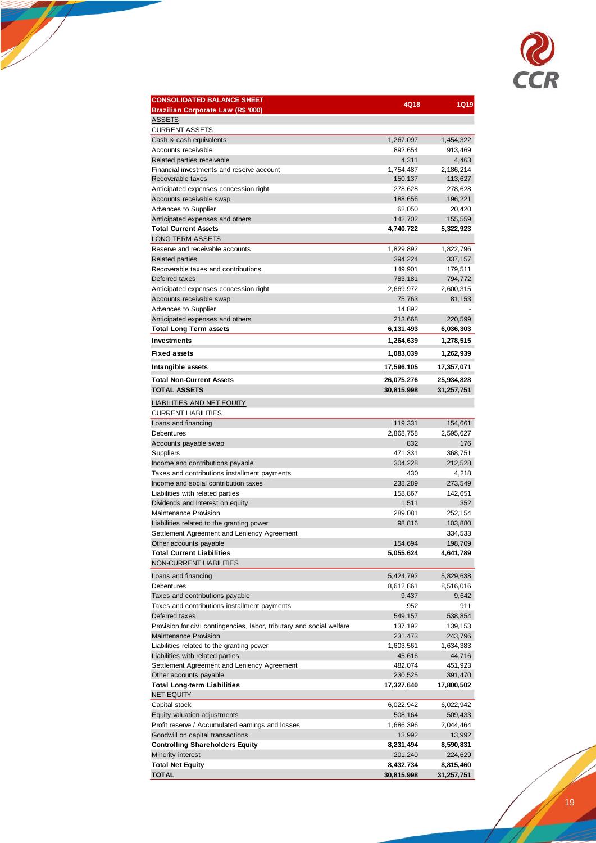

| <b>CONSOLIDATED BALANCE SHEET</b>                                      | 4Q18             | <b>1Q19</b>        |
|------------------------------------------------------------------------|------------------|--------------------|
| Brazilian Corporate Law (R\$ '000)<br><b>ASSETS</b>                    |                  |                    |
| <b>CURRENT ASSETS</b>                                                  |                  |                    |
| Cash & cash equivalents                                                | 1,267,097        | 1,454,322          |
| Accounts receivable                                                    | 892,654          | 913,469            |
| Related parties receivable                                             | 4,311            | 4,463              |
| Financial investments and reserve account                              | 1,754,487        | 2,186,214          |
| Recoverable taxes                                                      | 150,137          | 113,627            |
| Anticipated expenses concession right                                  | 278,628          | 278,628            |
| Accounts receivable swap                                               | 188,656          | 196,221            |
| Advances to Supplier                                                   | 62,050           | 20,420             |
| Anticipated expenses and others                                        | 142,702          | 155,559            |
| <b>Total Current Assets</b>                                            | 4,740,722        | 5,322,923          |
| <b>LONG TERM ASSETS</b>                                                |                  |                    |
| Reserve and receivable accounts                                        | 1,829,892        | 1,822,796          |
| <b>Related parties</b>                                                 | 394,224          | 337,157            |
| Recoverable taxes and contributions                                    | 149,901          | 179,511            |
| Deferred taxes                                                         | 783,181          | 794,772            |
| Anticipated expenses concession right                                  | 2,669,972        | 2,600,315          |
| Accounts receivable swap                                               | 75,763           | 81,153             |
| Advances to Supplier                                                   | 14,892           |                    |
| Anticipated expenses and others                                        | 213,668          | 220,599            |
| <b>Total Long Term assets</b>                                          | 6,131,493        | 6,036,303          |
| <b>Investments</b>                                                     | 1,264,639        | 1,278,515          |
| <b>Fixed assets</b>                                                    | 1,083,039        | 1,262,939          |
| Intangible assets                                                      | 17,596,105       | 17,357,071         |
| <b>Total Non-Current Assets</b>                                        | 26,075,276       | 25,934,828         |
| <b>TOTAL ASSETS</b>                                                    | 30,815,998       | 31,257,751         |
| <b>LIABILITIES AND NET EQUITY</b>                                      |                  |                    |
| <b>CURRENT LIABILITIES</b>                                             |                  |                    |
| Loans and financing                                                    | 119,331          | 154,661            |
| Debentures                                                             | 2,868,758        | 2,595,627          |
| Accounts payable swap                                                  | 832              | 176                |
| Suppliers                                                              | 471,331          | 368,751            |
| Income and contributions payable                                       | 304,228          | 212,528            |
| Taxes and contributions installment payments                           | 430              | 4,218              |
| Income and social contribution taxes                                   | 238,289          | 273,549<br>142,651 |
| Liabilities with related parties                                       | 158,867          | 352                |
| Dividends and Interest on equity<br><b>Maintenance Provision</b>       | 1,511<br>289,081 | 252,154            |
| Liabilities related to the granting power                              | 98,816           | 103,880            |
| Settlement Agreement and Leniency Agreement                            |                  | 334,533            |
| Other accounts payable                                                 | 154,694          | 198,709            |
| <b>Total Current Liabilities</b>                                       | 5,055,624        | 4,641,789          |
| NON-CURRENT LIABILITIES                                                |                  |                    |
|                                                                        |                  |                    |
| Loans and financing                                                    | 5,424,792        | 5,829,638          |
| Debentures                                                             | 8,612,861        | 8,516,016          |
| Taxes and contributions payable                                        | 9,437            | 9,642              |
| Taxes and contributions installment payments<br>Deferred taxes         | 952<br>549,157   | 911<br>538,854     |
| Provision for civil contingencies, labor, tributary and social welfare | 137,192          | 139,153            |
| <b>Maintenance Provision</b>                                           | 231,473          | 243,796            |
| Liabilities related to the granting power                              | 1,603,561        | 1,634,383          |
| Liabilities with related parties                                       | 45,616           | 44,716             |
| Settlement Agreement and Leniency Agreement                            | 482,074          | 451,923            |
| Other accounts payable                                                 | 230,525          | 391,470            |
| <b>Total Long-term Liabilities</b>                                     | 17,327,640       | 17,800,502         |
| <b>NET EQUITY</b>                                                      |                  |                    |
| Capital stock                                                          | 6,022,942        | 6,022,942          |
| Equity valuation adjustments                                           | 508,164          | 509,433            |
| Profit reserve / Accumulated earnings and losses                       | 1,686,396        | 2,044,464          |
| Goodwill on capital transactions                                       | 13,992           | 13,992             |
| <b>Controlling Shareholders Equity</b>                                 | 8,231,494        | 8,590,831          |
| Minority interest                                                      | 201,240          | 224,629            |
| <b>Total Net Equity</b>                                                | 8,432,734        | 8,815,460          |
| <b>TOTAL</b>                                                           | 30,815,998       | 31,257,751         |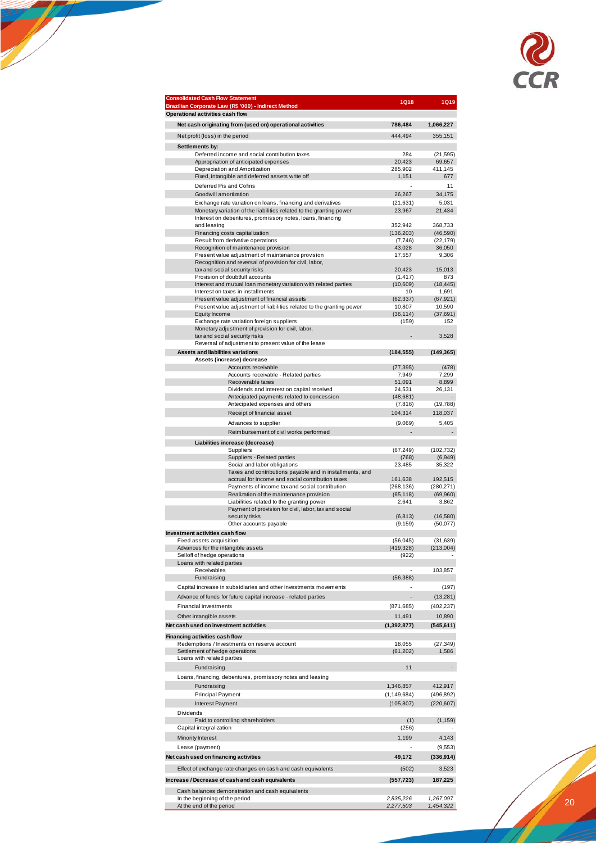

| <b>Consolidated Cash Flow Statement</b><br>Brazilian Corporate Law (R\$ '000) - Indirect Method     | <b>1Q18</b>           | <b>1Q19</b>           |
|-----------------------------------------------------------------------------------------------------|-----------------------|-----------------------|
| Operational activities cash flow<br>Net cash originating from (used on) operational activities      | 786,484               | 1,066,227             |
| Net profit (loss) in the period                                                                     | 444,494               | 355.151               |
| Settlements by:                                                                                     |                       |                       |
| Deferred income and social contribution taxes                                                       | 284                   | (21, 595)             |
| Appropriation of anticipated expenses                                                               | 20,423                | 69,657                |
| Depreciation and Amortization<br>Fixed, intangible and deferred assets write off                    | 285,902<br>1,151      | 411,145<br>677        |
| Deferred Pis and Cofins                                                                             |                       | 11                    |
| Goodwill amortization                                                                               | 26,267                | 34,175                |
| Exchange rate variation on loans, financing and derivatives                                         | (21, 631)             | 5,031                 |
| Monetary variation of the liabilities related to the granting power                                 | 23,967                | 21,434                |
| Interest on debentures, promissory notes, loans, financing<br>and leasing                           | 352,942               | 368.733               |
| Financing costs capitalization                                                                      | (136, 203)            | (46, 590)             |
| Result from derivative operations                                                                   | (7, 746)<br>43,028    | (22, 179)<br>36,050   |
| Recognition of maintenance provision<br>Present value adjustment of maintenance provision           | 17,557                | 9,306                 |
| Recognition and reversal of provision for civil, labor,                                             |                       |                       |
| tax and social security risks                                                                       | 20,423                | 15,013                |
| Provision of doubtfull accounts<br>Interest and mutual loan monetary variation with related parties | (1, 417)<br>(10,609)  | 873<br>(18, 445)      |
| Interest on taxes in installments                                                                   | 10                    | 1,691                 |
| Present value adjustment of financial assets                                                        | (62, 337)             | (67, 921)             |
| Present value adjustment of liabilities related to the granting power<br>Equity Income              | 10,807<br>(36, 114)   | 10,590<br>(37, 691)   |
| Exchange rate variation foreign suppliers                                                           | (159)                 | 152                   |
| Monetary adjustment of provision for civil, labor,                                                  |                       |                       |
| tax and social security risks                                                                       |                       | 3,528                 |
| Reversal of adjustment to present value of the lease<br>Assets and liabilities variations           | (184, 555)            |                       |
| Assets (increase) decrease                                                                          |                       | (149, 365)            |
| Accounts receivable                                                                                 | (77, 395)             | (478)                 |
| Accounts receivable - Related parties                                                               | 7,949                 | 7,299                 |
| Recoverable taxes<br>Dividends and interest on capital received                                     | 51,091<br>24,531      | 8,899<br>26,131       |
| Antecipated payments related to concession                                                          | (48, 681)             |                       |
| Antecipated expenses and others                                                                     | (7, 816)              | (19, 788)             |
| Receipt of financial asset                                                                          | 104,314               | 118,037               |
| Advances to supplier                                                                                | (9,069)               | 5,405                 |
| Reimbursement of civil works performed                                                              |                       |                       |
| Liabilities increase (decrease)                                                                     |                       |                       |
| Suppliers<br>Suppliers - Related parties                                                            | (67, 249)<br>(768)    | (102,732)<br>(6,949)  |
| Social and labor obligations                                                                        | 23,485                | 35,322                |
| Taxes and contributions payable and in installments, and                                            |                       |                       |
| accrual for income and social contribution taxes<br>Payments of income tax and social contribution  | 161,638<br>(268, 136) | 192,515<br>(280, 271) |
| Realization of the maintenance provision                                                            | (65, 118)             | (69,960)              |
| Liabilities related to the granting power                                                           | 2,641                 | 3,862                 |
| Payment of provision for civil, labor, tax and social<br>security risks                             | (6, 813)              | (16, 580)             |
| Other accounts payable                                                                              | (9, 159)              | (50,077)              |
| Investment activities cash flow                                                                     |                       |                       |
| Fixed assets acquisition                                                                            | (56, 045)             | (31, 639)             |
| Advances for the intangible assets<br>Selloff of hedge operations                                   | (419, 328)<br>(922)   | (213,004)             |
| Loans with related parties                                                                          |                       |                       |
| Receivables                                                                                         |                       | 103,857               |
| Fundraising                                                                                         | (56, 388)             |                       |
| Capital increase in subsidiaries and other investments movements                                    | $\sim$                | (197)                 |
| Advance of funds for future capital increase - related parties                                      |                       | (13, 281)             |
| Financial investments                                                                               | (871,685)             | (402, 237)            |
| Other intangible assets                                                                             | 11,491                | 10,890                |
| Net cash used on investment activities                                                              | (1, 392, 877)         | (545, 611)            |
| Financing activities cash flow                                                                      |                       |                       |
| Redemptions / Investments on reserve account<br>Settlement of hedge operations                      | 18,055<br>(61, 202)   | (27, 349)<br>1,586    |
| Loans with related parties                                                                          |                       |                       |
| Fundraising                                                                                         | 11                    |                       |
| Loans, financing, debentures, promissory notes and leasing                                          |                       |                       |
| Fundraising                                                                                         | 1,346,857             | 412,917               |
| Principal Payment                                                                                   | (1, 149, 684)         | (496, 892)            |
| Interest Payment                                                                                    | (105, 807)            | (220, 607)            |
| Dividends                                                                                           |                       |                       |
| Paid to controlling shareholders                                                                    | (1)                   | (1, 159)              |
| Capital integralization                                                                             | (256)                 |                       |
| Minority Interest                                                                                   | 1,199                 | 4,143                 |
| Lease (payment)                                                                                     |                       | (9, 553)              |
| Net cash used on financing activities                                                               | 49,172                | (336, 914)            |
| Effect of exchange rate changes on cash and cash equivalents                                        | (502)                 | 3,523                 |
| Increase / Decrease of cash and cash equivalents                                                    | (557, 723)            | 187,225               |
| Cash balances demonstration and cash equivalents                                                    |                       |                       |
| In the beginning of the period                                                                      | 2,835,226             | 1,267,097             |
| At the end of the period                                                                            | 2,277,503             | 1,454,322             |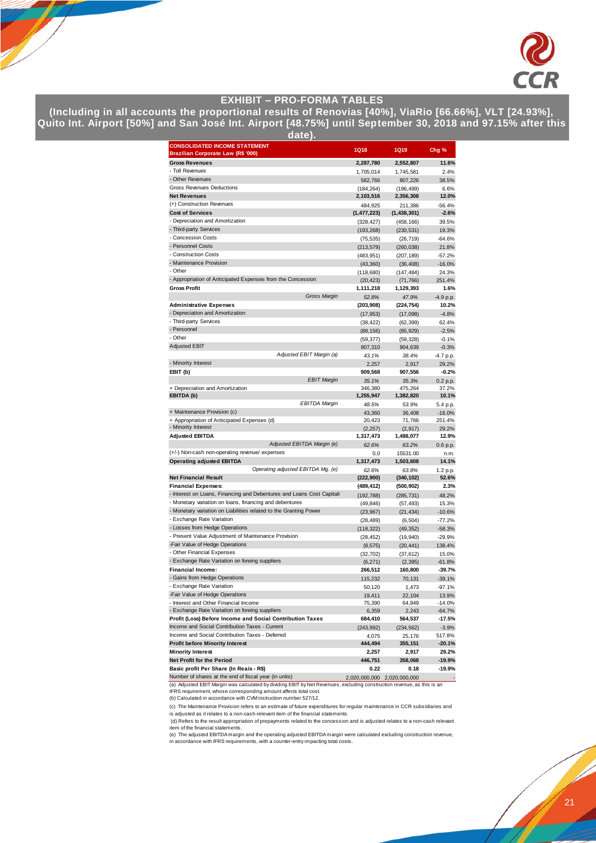

## **EXHIBIT – PRO-FORMA TABLES**

**(Including in all accounts the proportional results of Renovias [40%], ViaRio [66.66%], VLT [24.93%], Quito Int. Airport [50%] and San José Int. Airport [48.75%] until September 30, 2018 and 97.15% after this** 

| date <u>).</u>                                                                                                                   |                          |                          |                      |  |  |
|----------------------------------------------------------------------------------------------------------------------------------|--------------------------|--------------------------|----------------------|--|--|
| <b>CONSOLIDATED INCOME STATEMENT</b><br>Brazilian Corporate Law (R\$ '000)                                                       | 1Q18                     | <b>1Q19</b>              | Chg %                |  |  |
| <b>Gross Revenues</b>                                                                                                            | 2,287,780                | 2,552,807                | 11.6%                |  |  |
| - Toll Revenues                                                                                                                  | 1,705,014                | 1,745,581                | 2.4%                 |  |  |
| - Other Revenues                                                                                                                 | 582,766                  | 807,226                  | 38.5%                |  |  |
| <b>Gross Revenues Deductions</b>                                                                                                 | (184, 264)               | (196, 499)               | 6.6%                 |  |  |
| <b>Net Revenues</b>                                                                                                              | 2,103,516                | 2,356,308                | 12.0%                |  |  |
| (+) Construction Revenues                                                                                                        | 484,925                  | 211,386                  | $-56.4%$             |  |  |
| <b>Cost of Services</b>                                                                                                          | (1, 477, 223)            | (1,438,301)              | $-2.6%$              |  |  |
| - Depreciation and Amortization<br>- Third-party Services                                                                        | (328, 427)               | (458, 166)               | 39.5%                |  |  |
| - Concession Costs                                                                                                               | (193, 268)               | (230, 531)               | 19.3%                |  |  |
| - Personnel Costs                                                                                                                | (75, 535)                | (26, 719)                | $-64.6%$             |  |  |
| - Construction Costs                                                                                                             | (213, 579)<br>(483, 951) | (260, 038)<br>(207, 189) | 21.8%<br>$-57.2%$    |  |  |
| - Maintenance Provision                                                                                                          | (43, 360)                | (36, 408)                | $-16.0%$             |  |  |
| - Other                                                                                                                          | (118, 680)               | (147, 484)               | 24.3%                |  |  |
| - Appropriation of Anticipated Expenses from the Concession                                                                      | (20, 423)                | (71, 766)                | 251.4%               |  |  |
| <b>Gross Profit</b>                                                                                                              | 1,111,218                | 1,129,393                | 1.6%                 |  |  |
| Gross Margin                                                                                                                     | 52.8%                    | 47.9%                    | $-4.9 p.p.$          |  |  |
| <b>Administrative Expenses</b>                                                                                                   | (203, 908)               | (224, 754)               | 10.2%                |  |  |
| - Depreciation and Amortization                                                                                                  | (17, 953)                | (17,098)                 | $-4.8%$              |  |  |
| - Third-party Services                                                                                                           | (38, 422)                | (62, 399)                | 62.4%                |  |  |
| - Personnel                                                                                                                      | (88, 156)                | (85, 929)                | $-2.5%$              |  |  |
| - Other                                                                                                                          | (59, 377)                | (59, 328)                | $-0.1%$              |  |  |
| <b>Adjusted EBIT</b>                                                                                                             | 907,310                  | 904,639                  | $-0.3%$              |  |  |
| Adjusted EBIT Margin (a)                                                                                                         | 43.1%                    | 38.4%                    | -4.7 p.p.            |  |  |
| - Minority Interest                                                                                                              | 2,257                    | 2,917                    | 29.2%                |  |  |
| EBIT (b)                                                                                                                         | 909,568                  | 907,556                  | $-0.2%$              |  |  |
| <b>EBIT Margin</b>                                                                                                               | 35.1%                    | 35.3%                    | 0.2 p.p.             |  |  |
| + Depreciation and Amortization<br>EBITDA (b)                                                                                    | 346,380<br>1,255,947     | 475,264<br>1,382,820     | 37.2%<br>10.1%       |  |  |
| <b>EBITDA Margin</b>                                                                                                             | 48.5%                    | 53.9%                    | 5.4 p.p.             |  |  |
| + Maintenance Provision (c)                                                                                                      | 43.360                   | 36,408                   | $-16.0%$             |  |  |
| + Appropriation of Anticipated Expenses (d)                                                                                      | 20,423                   | 71,766                   | 251.4%               |  |  |
| - Minority Interest                                                                                                              | (2, 257)                 | (2, 917)                 | 29.2%                |  |  |
| <b>Adjusted EBITDA</b>                                                                                                           | 1,317,473                | 1,488,077                | 12.9%                |  |  |
| Adjusted EBITDA Margin (e)                                                                                                       | 62.6%                    | 63.2%                    | 0.6 p.p.             |  |  |
| (+/-) Non-cash non-operating revenue/ expenses                                                                                   | 0,0                      | 15531.00                 | n.m.                 |  |  |
| <b>Operating adjusted EBITDA</b>                                                                                                 | 1,317,473                | 1,503,608                | 14.1%                |  |  |
| Operating adjusted EBITDA Mg. (e)                                                                                                | 62.6%                    | 63.8%                    | 1.2 p.p.             |  |  |
| <b>Net Financial Result</b>                                                                                                      | (222, 900)               | (340, 102)               | 52.6%                |  |  |
| <b>Financial Expenses:</b>                                                                                                       | (489, 412)               | (500, 902)               | 2.3%                 |  |  |
| - Interest on Loans, Financing and Debentures and Loans Cost Capitali<br>- Monetary variation on loans, financing and debentures | (192, 788)               | (285, 731)               | 48.2%                |  |  |
| - Monetary variation on Liabilities related to the Granting Power                                                                | (49, 846)                | (57, 493)                | 15.3%                |  |  |
| - Exchange Rate Variation                                                                                                        | (23, 967)                | (21, 434)                | $-10.6%$             |  |  |
| - Losses from Hedge Operations                                                                                                   | (28, 489)<br>(118, 322)  | (6, 504)<br>(49, 352)    | $-77.2%$<br>$-58.3%$ |  |  |
| - Present Value Adjustment of Maintenance Provision                                                                              | (28, 452)                | (19, 940)                | $-29.9%$             |  |  |
| -Fair Value of Hedge Operations                                                                                                  | (8, 575)                 | (20, 441)                | 138.4%               |  |  |
| - Other Financial Expenses                                                                                                       | (32, 702)                | (37, 612)                | 15.0%                |  |  |
| - Exchange Rate Variation on foreing suppliers                                                                                   | (6, 271)                 | (2, 395)                 | $-61.8%$             |  |  |
| <b>Financial Income:</b>                                                                                                         | 266,512                  | 160,800                  | $-39.7%$             |  |  |
| - Gains from Hedge Operations                                                                                                    | 115,232                  | 70,131                   | $-39.1%$             |  |  |
| - Exchange Rate Variation                                                                                                        | 50,120                   | 1,473                    | $-97.1%$             |  |  |
| -Fair Value of Hedge Operations                                                                                                  | 19,411                   | 22,104                   | 13.9%                |  |  |
| - Interest and Other Financial Income                                                                                            | 75,390                   | 64,849                   | $-14.0%$             |  |  |
| - Exchange Rate Variation on foreing suppliers                                                                                   | 6,359                    | 2,243                    | $-64.7%$             |  |  |
| Profit (Loss) Before Income and Social Contribution Taxes                                                                        | 684,410                  | 564,537                  | $-17.5%$             |  |  |
| Income and Social Contribution Taxes - Current<br>Income and Social Contribution Taxes - Deferred                                | (243, 992)               | (234, 562)               | $-3.9%$              |  |  |
| <b>Profit before Minority Interest</b>                                                                                           | 4,075<br>444,494         | 25,176<br>355,151        | 517.8%<br>$-20.1%$   |  |  |
| <b>Minority Interest</b>                                                                                                         | 2,257                    | 2,917                    | 29.2%                |  |  |
| Net Profit for the Period                                                                                                        | 446,751                  | 358,068                  | $-19.9%$             |  |  |
| Basic profit Per Share (In Reais - R\$)                                                                                          | 0.22                     | 0.18                     | -19.9%               |  |  |

Number of shares at the end of fiscal year (in units) 2,020,000,000 2,020,000,000 - 2,020,000,000

(a) Adjusted EBIT Margin was calculated by dividing EBIT by Net Revenues, excluding construction revenue, as this is an IFRS requirement, whose corresponding amount affects total cost.

(b) Calculated in accordance with CVM instruction number 527/12.

(c) The Maintenance Provision refers to an estimate of future expenditures for regular maintenance in CCR subsidiaries and is adjusted as it relates to a non-cash-relevant item of the financial statements.

(d) Refers to the result appropriation of prepayments related to the concession and is adjusted relates to a non-cash relevant<br>item of the financial statements.<br>(e) The adjusted EBITDA margin and the operating adjusted EBI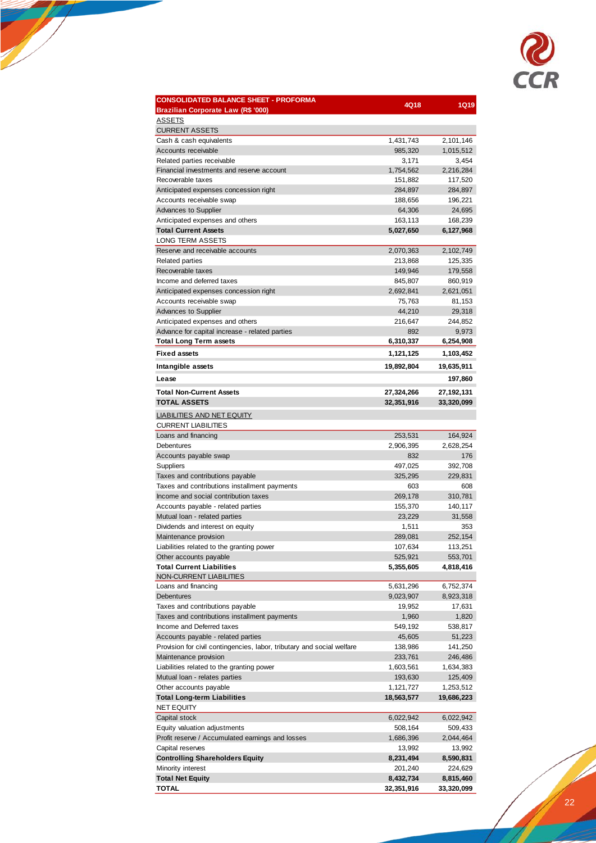

| <b>CONSOLIDATED BALANCE SHEET - PROFORMA</b>                           | 4Q18                 | <b>1Q19</b>          |
|------------------------------------------------------------------------|----------------------|----------------------|
| Brazilian Corporate Law (R\$ '000)<br><b>ASSETS</b>                    |                      |                      |
| <b>CURRENT ASSETS</b>                                                  |                      |                      |
| Cash & cash equivalents                                                | 1,431,743            | 2,101,146            |
| Accounts receivable                                                    | 985,320              | 1,015,512            |
| Related parties receivable                                             | 3,171                | 3,454                |
| Financial investments and reserve account                              | 1,754,562            | 2,216,284            |
| Recoverable taxes                                                      | 151,882              | 117,520              |
| Anticipated expenses concession right                                  | 284,897              | 284,897              |
| Accounts receivable swap                                               | 188,656              | 196,221              |
| <b>Advances to Supplier</b><br>Anticipated expenses and others         | 64,306               | 24,695               |
| <b>Total Current Assets</b>                                            | 163,113<br>5,027,650 | 168,239<br>6,127,968 |
| <b>LONG TERM ASSETS</b>                                                |                      |                      |
| Reserve and receivable accounts                                        | 2,070,363            | 2,102,749            |
| <b>Related parties</b>                                                 | 213,868              | 125,335              |
| Recoverable taxes                                                      | 149,946              | 179,558              |
| Income and deferred taxes                                              | 845,807              | 860,919              |
| Anticipated expenses concession right                                  | 2,692,841            | 2,621,051            |
| Accounts receivable swap                                               | 75,763               | 81,153               |
| <b>Advances to Supplier</b>                                            | 44,210               | 29,318               |
| Anticipated expenses and others                                        | 216,647              | 244,852              |
| Advance for capital increase - related parties                         | 892                  | 9,973                |
| <b>Total Long Term assets</b>                                          | 6,310,337            | 6,254,908            |
| <b>Fixed assets</b>                                                    | 1,121,125            | 1,103,452            |
| Intangible assets                                                      | 19,892,804           | 19,635,911           |
| Lease                                                                  |                      | 197,860              |
| <b>Total Non-Current Assets</b>                                        | 27,324,266           | 27,192,131           |
| <b>TOTAL ASSETS</b>                                                    | 32,351,916           | 33,320,099           |
| <b>LIABILITIES AND NET EQUITY</b>                                      |                      |                      |
| <b>CURRENT LIABILITIES</b>                                             |                      |                      |
| Loans and financing                                                    | 253,531              | 164,924              |
| Debentures                                                             | 2,906,395            | 2,628,254            |
| Accounts payable swap                                                  | 832                  | 176                  |
| Suppliers<br>Taxes and contributions payable                           | 497,025<br>325,295   | 392,708<br>229,831   |
| Taxes and contributions installment payments                           | 603                  | 608                  |
| Income and social contribution taxes                                   | 269,178              | 310,781              |
| Accounts payable - related parties                                     | 155,370              | 140,117              |
| Mutual loan - related parties                                          | 23,229               | 31,558               |
| Dividends and interest on equity                                       | 1,511                | 353                  |
| Maintenance provision                                                  | 289,081              | 252,154              |
| Liabilities related to the granting power                              | 107,634              | 113,251              |
| Other accounts payable                                                 | 525,921              | 553,701              |
| <b>Total Current Liabilities</b>                                       | 5,355,605            | 4,818,416            |
| NON-CURRENT LIABILITIES                                                |                      |                      |
| Loans and financing                                                    | 5,631,296            | 6,752,374            |
| Debentures<br>Taxes and contributions payable                          | 9,023,907<br>19,952  | 8,923,318            |
| Taxes and contributions installment payments                           | 1,960                | 17,631<br>1,820      |
| Income and Deferred taxes                                              | 549,192              | 538,817              |
| Accounts payable - related parties                                     | 45,605               | 51,223               |
| Provision for civil contingencies, labor, tributary and social welfare | 138,986              | 141,250              |
| Maintenance provision                                                  | 233,761              | 246,486              |
| Liabilities related to the granting power                              | 1,603,561            | 1,634,383            |
| Mutual loan - relates parties                                          | 193,630              | 125,409              |
| Other accounts payable                                                 | 1,121,727            | 1,253,512            |
| <b>Total Long-term Liabilities</b>                                     | 18,563,577           | 19,686,223           |
| <b>NET EQUITY</b>                                                      |                      |                      |
| Capital stock                                                          | 6,022,942            | 6,022,942            |
| Equity valuation adjustments                                           | 508,164              | 509,433              |
| Profit reserve / Accumulated earnings and losses                       | 1,686,396            | 2,044,464            |
| Capital reserves                                                       | 13,992               | 13,992               |
| <b>Controlling Shareholders Equity</b><br>Minority interest            | 8,231,494<br>201,240 | 8,590,831<br>224,629 |
| <b>Total Net Equity</b>                                                | 8,432,734            | 8,815,460            |
| <b>TOTAL</b>                                                           | 32,351,916           | 33,320,099           |